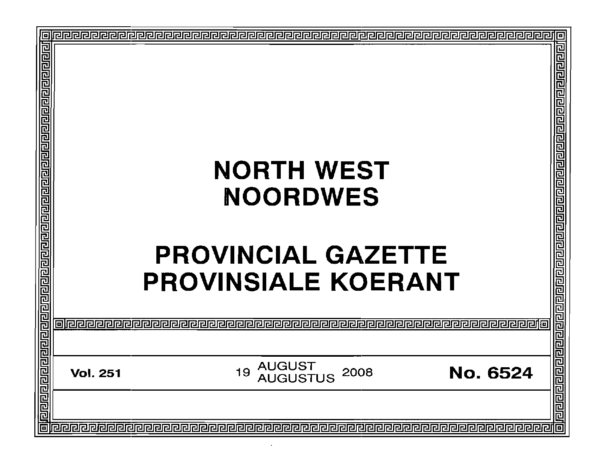| E |                                                                        | Ξ<br>린                                                                                  |
|---|------------------------------------------------------------------------|-----------------------------------------------------------------------------------------|
|   | <b>NORTH WEST</b><br><b>NOORDWES</b>                                   | واقاقا واقاقا والماقا والماقاق والمواقاة والمواقاة والمواقاة والمواقاة والماقاة والماقا |
|   | <b>PROVINCIAL GAZETTE</b>                                              |                                                                                         |
|   |                                                                        |                                                                                         |
|   | <b>PROVINSIALE KOERANT</b>                                             |                                                                                         |
|   |                                                                        |                                                                                         |
|   |                                                                        |                                                                                         |
|   | AUGUST<br>AUGUSTUS<br>19<br><b>No. 6524</b><br>2008<br><b>Vol. 251</b> |                                                                                         |
|   |                                                                        |                                                                                         |
| 同 |                                                                        | 回                                                                                       |

 $\bullet$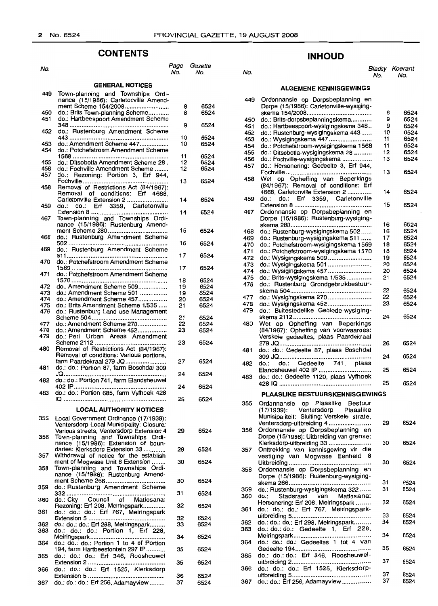# **CONTENTS**

| No.        |                                                                                                                      | Page<br>No. | Gazette<br>No.       |
|------------|----------------------------------------------------------------------------------------------------------------------|-------------|----------------------|
|            | <b>GENERAL NOTICES</b>                                                                                               |             |                      |
| 449        | Town-planning and Townships Ordi-<br>nance (15/1986): Carletonville Amend-                                           |             |                      |
| 450<br>451 | ment Scheme 154/2008<br>do.: Brits Town-planning Scheme<br>do.: Hartbeespoort Amendment Scheme                       | 8<br>8<br>9 | 6524<br>6524<br>6524 |
| 452        | do.: Rustenburg Amendment Scheme                                                                                     | 10          | 6524                 |
| 453<br>454 | do.: Amendment Scheme 447<br>do.: Potchefstroom Amendment Scheme                                                     | 10          | 6524                 |
| 455        | do.: Ditsobotla Amendment Scheme 28.                                                                                 | 11<br>12    | 6524<br>6524         |
| 456        | do.: Fochville Amendment Scheme                                                                                      | 12          | 6524                 |
| 457<br>458 | do.: Rezoning: Portion 3, Erf 944,<br>Removal of Restrictions Act (84/1967):                                         | 13          | 6524                 |
|            | Removal of conditions: Erf 4668,<br>Carletonville Extension 2                                                        | 14          | 6524                 |
| 459        | do.: Erf 3359, Carletonville<br>do.:<br>Extension 8                                                                  | 14          | 6524                 |
| 467        | Town-planning and Townships Ordi-<br>nance (15/1986): Rustenburg Amend-                                              | 15          | 6524                 |
| 468        | do.: Rustenburg Amendment Scheme                                                                                     | 16          | 6524                 |
| 469        | do.: Rustenburg Amendment Scheme                                                                                     | 17          | 6524                 |
| 470        | do.: Potchefstroom Amendment Scheme                                                                                  | 17          | 6524                 |
| 471        | do.: Potchefstroom Amendment Scheme                                                                                  | 18          | 6524                 |
| 472        | do.: Amendment Scheme 509                                                                                            | 19          | 6524                 |
| 473        | do.: Amendment Scheme 501                                                                                            | 19          | 6524                 |
| 474        | do.: Amendment Scheme 457                                                                                            | 20          | 6524                 |
| 475<br>476 | do.: Brits Amendment Scheme 1/535<br>do.: Rustenburg Land use Management                                             | 21          | 6524                 |
|            |                                                                                                                      | 21          | 6524                 |
| 477<br>478 | do.: Amendment Scheme 270<br>do.: Amendment Scheme 452                                                               | 22<br>23    | 6524<br>6524         |
| 479        | do.: Peri Urban Areas Amendment                                                                                      |             |                      |
| 480        | Removal of Restrictions Act (84/1967):                                                                               | 23          | 6524                 |
|            | Removal of conditions: Various portions,<br>farm Paardekraal 279 JQ                                                  | 27          | 6524                 |
| 481        | do.: do.: Portion 87, farm Boschdal 309                                                                              | 24          | 6524                 |
| 482        | do.: do.: Portion 741, farm Elandsheuwel                                                                             | 24          | 6524                 |
| 483        | do.: do.: Portion 685, farm Vyfhoek 428                                                                              | 25          | 6524                 |
|            | <b>LOCAL AUTHORITY NOTICES</b>                                                                                       |             |                      |
| 355        | Local Government Ordinance (17/1939):<br>Ventersdorp Local Municipality: Closure:                                    |             |                      |
| 356        | Various streets, Ventersdorp Extension 4<br>Town-planning and Townships Ordi-<br>nance (15/1986): Extension of boun- | 29          | 6524                 |
| 357        | daries: Klerksdorp Extension 33<br>Withdrawal of notice for the establish                                            | 29          | 6524                 |
| 358        | ment of Mogwase Unit 8 Extension<br>Town-planning and Townships Ordi-<br>nance (15/1986): Rustenburg Amend-          | 30          | 6524                 |
| 359        | do.: Rustenburg Amendment Scheme                                                                                     | 30          | 6524                 |
| 360        | do.: City Council of Matiosana:                                                                                      | 31          | 6524                 |
| 361        | Rezoning: Erf 208, Meiringspark<br>do.: do.: do.: Erf 767, Meiringspark                                              | 32          | 6524                 |
| 362        | Extension 5<br>do.: do.: do.: Erf 298, Meiringspark                                                                  | 32<br>33    | 6524<br>6524         |
| 363        | do.: do.: do.: Portion 1, Erf 228,<br>Meiringspark                                                                   | 34          | 6524                 |
| 364        | do.: do.: do.: Portion 1 to 4 of Portion<br>194, farm Hartbeesfontein 297 IP                                         | 35          | 6524                 |
| 365        | do.: do.: do.: Erf 346, Roosheuwel<br><b>Extension 2 </b>                                                            | 35          | 6524                 |
| 366        | do.: do.: do.: Erf 1525, Klerksdorp                                                                                  | 36          | 6524                 |

#### Extension 5 36 367 do.: do.: do.: Erf 256, Adamayview .........

6524

# **INHOUD**

# No. No. No. Bladsy Koerant No. No.

#### **ALGEMENE KENNISGEWINGS**

| 449        | Ordonnansie op Dorpsbeplanning en<br>Dorpe (15/1986): Carletonville-wysiging- |    |      |
|------------|-------------------------------------------------------------------------------|----|------|
|            |                                                                               | 8  | 6524 |
|            | do.: Brits-dorpsbeplanningskema                                               | 9  | 6524 |
| 450<br>451 | do.: Hartbeespoort-wysigingskema 348                                          | 9  | 6524 |
|            | do.: Rustenburg-wysigingskema 443                                             | 10 | 6524 |
| 452<br>453 | do.: Wysigingskema 447                                                        | 11 | 6524 |
| 454        | do.: Potchefstroom-wysigingskema 1568                                         | 11 | 6524 |
|            | do.: Ditsobotla-wysigingskema 28                                              | 12 | 6524 |
| 455<br>456 | do.: Fochville-wysigingskema                                                  | 13 | 6524 |
| 457        |                                                                               |    |      |
|            | do.: Hersonering: Gedeelte 3, Erf 944,                                        | 13 | 6524 |
| 458        | Wet op Opheffing van Beperkings                                               |    |      |
|            | (84/1967): Removal of conditions: Erf                                         |    |      |
|            | 4668, Carletonville Extension 2                                               | 14 | 6524 |
| 459        | do.: do.: Erf 3359, Carletonville                                             |    |      |
|            |                                                                               | 15 | 6524 |
| 467        | Ordonnansie op Dorpsbeplanning en                                             |    |      |
|            | Dorpe (15/1986): Rustenburg-wysiging-                                         |    |      |
|            |                                                                               | 16 | 6524 |
|            | do.: Rustenburg-wysigingskema 502                                             | 16 | 6524 |
| 468        |                                                                               | 17 | 6524 |
| 469<br>470 | do.: Rustenburg-wysigingskema 511<br>do.: Potchefstroom-wysigingskema 1569    | 18 | 6524 |
|            |                                                                               | 18 | 6524 |
| 471        | do.: Potchefstroom-wysigingskema 1570                                         | 19 | 6524 |
| 472<br>473 | do.: Wysigingskema 509                                                        | 20 | 6524 |
| 474        |                                                                               | 20 | 6524 |
|            | do.: Wysigingskema 457                                                        | 21 | 6524 |
| 475        | do.: Brits-wysigingskema 1/535                                                |    |      |
| 476        | do.: Rustenburg Grondgebruikbestuur-                                          | 22 | 6524 |
| 477        |                                                                               | 22 | 6524 |
|            | do.: Wysigingskema 270                                                        | 23 | 6524 |
| 478<br>479 | do.: Wysigingskema 452<br>do.: Buitestedelike Gebiede-wysiging-               |    |      |
|            |                                                                               | 24 | 6524 |
|            | Wet op Opheffing van Beperkings                                               |    |      |
| 480        | (84/1967): Opheffing van voorwaardes:                                         |    |      |
|            | Verskeie gedeeltes, plaas Paardekraal                                         |    |      |
|            |                                                                               | 26 | 6524 |
| 481        | do.: do.: Gedeelte 87, plaas Boschdal                                         |    |      |
|            | 309 JQ………………………………………………                                                      | 24 | 6524 |
| 482        | do.: Gedeelte 741, plaas<br>do.:                                              |    |      |
|            | Elandsheuwel 402 IP                                                           | 25 | 6524 |
| 483        | do.: do.: Gedeelte 1120, plaas Vyfhoek                                        |    |      |
|            |                                                                               | 25 | 6524 |
|            |                                                                               |    |      |
|            | <b>PLAASLIKE BESTUURSKENNISGEWINGS</b>                                        |    |      |
| 355        | Ordonnansie op Plaaslike Bestuur                                              |    |      |
|            | (17/1939): Ventersdorp Plaaslike                                              |    |      |
|            | Munisipaliteit: Sluiting: Verskeie strate,                                    |    |      |
|            | Ventersdorp-uitbreiding 4                                                     | 29 | 6524 |
| 356        | Ordonnansie op Dorpsbeplanning en                                             |    |      |
|            | Dorpe (15/1986): Uitbreiding van grense:                                      |    |      |
|            | Klerksdorp-uitbreiding 33                                                     | 30 | 6524 |
| 357        | Onttrekking van kennisgewing vir die                                          |    |      |
|            | vestiging van Mogwase Eenheid 8                                               |    |      |
|            |                                                                               | 30 | 6524 |
| 358        | Ordonnansie op Dorpsbeplanning en                                             |    |      |
|            | Dorpe (15/1986): Rustenburg-wysiging-                                         |    |      |
|            |                                                                               | 31 | 6524 |
| 359        | do.: Rustenburg-wysigingskema 322                                             | 31 | 6524 |
| 360        | Stadsraad van<br>Matlosana:<br>do.:                                           |    |      |
|            | Hersonering: Erf 208, Meiringspark                                            | 32 | 6524 |
| 361        | do.: do.: do.: Erf 767, Meiringspark-                                         |    |      |
|            |                                                                               | 33 | 6524 |
| 362        | do.: do.: do.: Erf 298, Meiringspark                                          | 34 | 6524 |
| 363        | do.: do.: do.: Gedeelte 1, Erf 228,                                           |    |      |
|            |                                                                               | 34 | 6524 |
| 364        | do.: do.: do.: Gedeeltes 1 tot 4 van                                          |    |      |
|            |                                                                               | 35 | 6524 |
| 365        | do.: do.: do.: Erf 346, Roosheuwel-                                           |    |      |
|            |                                                                               | 37 | 6524 |
| 366        | do.: do.: do.: Erf 1525, Kierksdorp-                                          |    |      |
|            |                                                                               | 37 | 6524 |
| 367        | do.: do.: Erf 256, Adamayview                                                 | 37 | 6524 |
|            |                                                                               |    |      |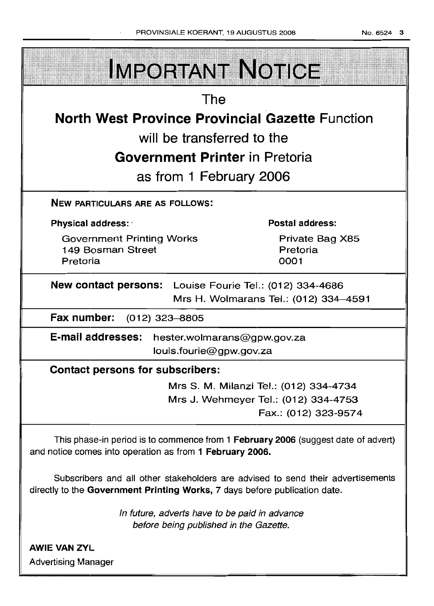| PROVINSIALE KOERANT, 19 AUGUSTUS 2008                                             |                                        | No. 6524 3 |
|-----------------------------------------------------------------------------------|----------------------------------------|------------|
| <b>IMPORTANT NOTICE</b>                                                           |                                        |            |
| The                                                                               |                                        |            |
| <b>North West Province Provincial Gazette Function</b>                            |                                        |            |
| will be transferred to the                                                        |                                        |            |
| <b>Government Printer in Pretoria</b>                                             |                                        |            |
|                                                                                   |                                        |            |
| as from 1 February 2006                                                           |                                        |            |
| <b>NEW PARTICULARS ARE AS FOLLOWS:</b>                                            |                                        |            |
| Physical address:                                                                 | <b>Postal address:</b>                 |            |
| <b>Government Printing Works</b>                                                  | Private Bag X85                        |            |
| 149 Bosman Street<br>Pretoria                                                     | Pretoria<br>0001                       |            |
| New contact persons: Louise Fourie Tel.: (012) 334-4686                           | Mrs H. Wolmarans Tel.: (012) 334-4591  |            |
| Fax number:<br>$(012)$ 323-8805                                                   |                                        |            |
| E-mail addresses:<br>hester.wolmarans@gpw.gov.za                                  |                                        |            |
| louis.fourie@gpw.gov.za                                                           |                                        |            |
| <b>Contact persons for subscribers:</b>                                           |                                        |            |
|                                                                                   | Mrs S. M. Milanzi Tel.: (012) 334-4734 |            |
|                                                                                   | Mrs J. Wehmeyer Tel.: (012) 334-4753   |            |
|                                                                                   | Fax.: (012) 323-9574                   |            |
| This phase-in period is to commence from 1 February 2006 (suggest date of advert) |                                        |            |

This phase-in period is to commence from 1 February 2006 (suggest date of advert) and notice comes into operation as from 1 February 2006.

Subscribers and all other stakeholders are advised to send their advertisements directly to the Government Printing Works, 7 days before publication date.

> In future, adverts have to be paid in advance before being published in the Gazette.

AWIE VAN ZVIL Advertising Manager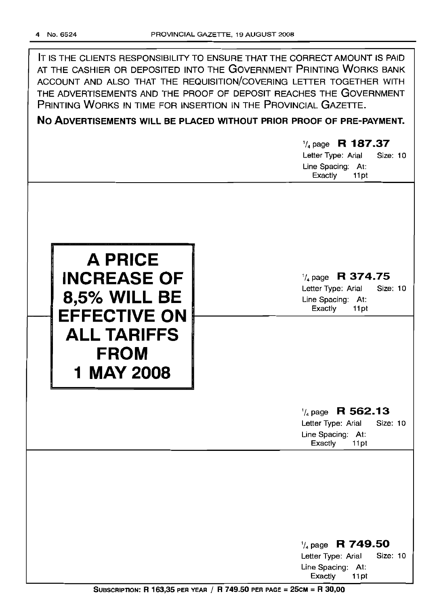| IT IS THE CLIENTS RESPONSIBILITY TO ENSURE THAT THE CORRECT AMOUNT IS PAID |
|----------------------------------------------------------------------------|
| AT THE CASHIER OR DEPOSITED INTO THE GOVERNMENT PRINTING WORKS BANK        |
| ACCOUNT AND ALSO THAT THE REQUISITION/COVERING LETTER TOGETHER WITH        |
| THE ADVERTISEMENTS AND THE PROOF OF DEPOSIT REACHES THE GOVERNMENT         |
| PRINTING WORKS IN TIME FOR INSERTION IN THE PROVINCIAL GAZETTE.            |
|                                                                            |

## **No ADVERTISEMENTS WILL BE PLACED WITHOUT PRIOR PROOF OF PRE-PAYMENT.**

# '/4 page **R 187.37** Letter Type: Arial Size: 10 Line Spacing: At: Exactly 11pt



'/4 page **R 374.75** Letter Type: Arial Size: 10

Line Spacing: At:<br>Exactly 11pt Exactly

# '/4 page **R 562.13**

Letter Type: Arial Size: 10 Line Spacing: At:<br>Exactly 11pt Exactly

| $\frac{1}{4}$ page R 749.50    |  |  |
|--------------------------------|--|--|
| Size: 10<br>Letter Type: Arial |  |  |
| Line Spacing: At:              |  |  |
| Exactly<br>11 pt               |  |  |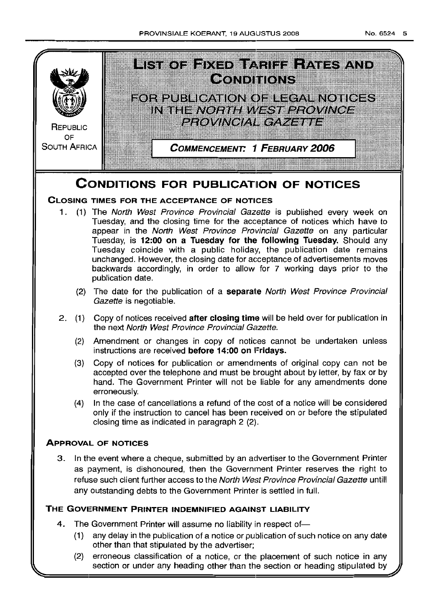

- (1) any delay in the publication of a notice or publication of such notice on any date other than that stipulated by the advertiser;
- (2) erroneous classification of a notice, or the placement of such notice in any section or under any heading other than the section or heading stipulated by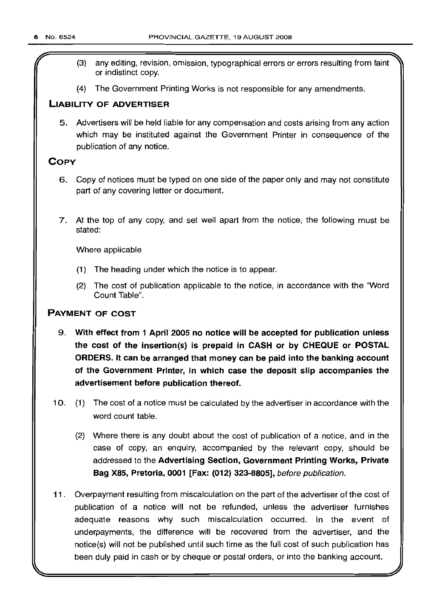- f' (3) any editing, revision, omission, typographical errors or errors resulting from faint or indistinct copy.
- (4) The Government Printing Works is not responsible for any amendments.

## **LIABILITY OF ADVERTISER**

5. Advertisers will be held liable for any compensation and costs arising from any action which may be instituted against the Government Printer in consequence of the publication of any notice.

## **COpy**

- 6. Copy of notices must be typed on one side of the paper only and may not constitute part of any covering letter or document.
- 7. At the top of any copy, and set well apart from the notice, the following must be stated:

Where applicable

- (1) The heading under which the notice is to appear.
- (2) The cost of publication applicable to the notice, in accordance with the "Word Count Table".

## **PAYMENT OF COST**

- 9. **With effect from 1 April 2005 no notice will be accepted for publication unless the cost of the insertion(s) is prepaid in CASH or by CHEQUE or POSTAL ORDERS. It can be arranged that money can be paid into the banking account of the Government Printer, in which case the deposit slip accompanies the advertisement before publication thereof.**
- 10. (1) The cost of a notice must be calculated by the advertiser in accordance with the word count table.
	- (2) Where there is any doubt about the cost of publication of a notice, and in the case of copy, an enquiry, accompanied by the relevant copy, should be addressed to the **Advertising Section, Government Printing Works, Private Bag X85, Pretoria, 0001 [Fax: (012) 323-8805],** before publication.
- **11.** Overpayment resulting from miscalculation on the part of the advertiser of the cost of publication of a notice will not be refunded, unless the advertiser furnishes adequate reasons why such miscalculation occurred. In the event of underpayments, the difference will be recovered from the advertiser, and the notice(s) will not be published until such time as the full cost of such publication has been duly paid in cash or by cheque or postal orders, or into the banking account.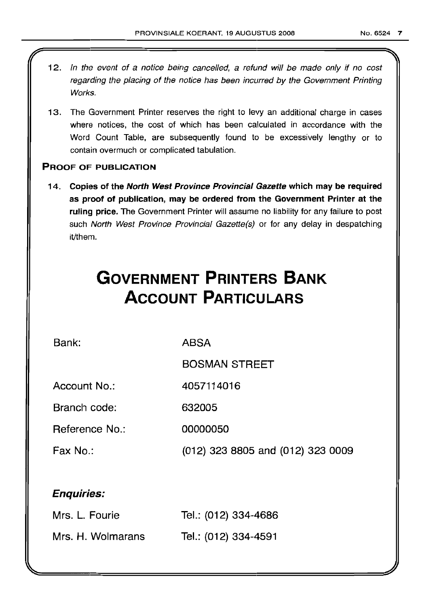- 12. In the event of a notice being cancelled, a refund will be made only if no cost regarding the placing of the notice has been incurred by the Government Printing Works.
- 13. The Government Printer reserves the right to levy an additional charge in cases where notices, the cost of which has been calculated in accordance with the Word Count Table, are subsequently found to be excessively lengthy or to contain overmuch or complicated tabulation.

## PROOF OF PUBLICATION

14. Copies of the North West Province Provincial Gazette which may be required as proot of publication, may be ordered from the Government Printer at the ruling price. The Government Printer will assume no liability for any failure to post such North West Province Provincial Gazette(s) or for any delay in despatching it/them.

# **GOVERNMENT PRINTERS BANK ACCOUNT PARTICULARS**

Bank:

ABSA

BOSMAN STREET

Account No.: 4057114016

Branch code: 632005

Reference No.: 00000050

Fax No.: (012) 323 8805 and (012) 323 0009

## Enquiries:

| Mrs. L. Fourie    | Tel.: (012) 334-4686 |
|-------------------|----------------------|
| Mrs. H. Wolmarans | Tel.: (012) 334-4591 |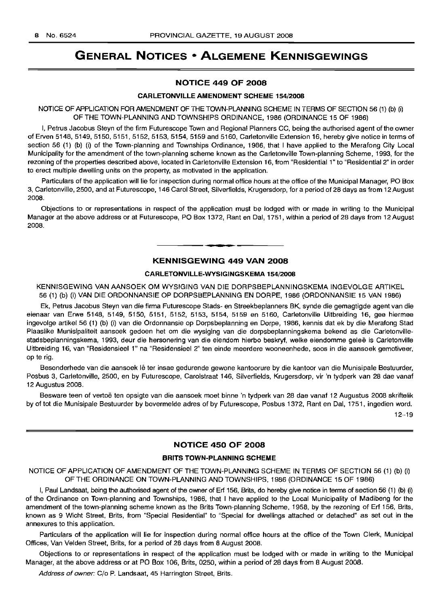# **GENERAL NOTICES • ALGEMENE KENNISGEWINGS**

#### **NOTICE 449 OF 2008**

## **CARLETONVILLE AMENDMENT SCHEME** 154/2008

NOTICE OF APPLICATION FOR AMENDMENT OF THE TOWN-PLANNING SCHEME IN TERMS OF SECTION 56 (1) (b) (i) OF THE TOWN-PLANNING AND TOWNSHIPS ORDINANCE, 1986 (ORDINANCE 15 OF 1986)

I, Petrus Jacobus Steyn of the firm Futurescope Town and Regional Planners CC, being the authorised agent of the owner of Erven 5148, 5149, 5150, 5151, 5152, 5153, 5154, 5159 and 5160, Carletonville Extension 16, hereby give notice in terms of section 56 (1) (b) (i) of the Town-planning and Townships Ordinance, 1986, that I have applied to the Merafong City Local Municipality for the amendment of the town-planning scheme known as the Carletonville Town-planning Scheme, 1993, for the rezoning of the properties described above, located in Carletonville Extension 16, from "Residential 1" to "Residential 2" in order to erect multiple dwelling units on the property, as motivated in the application.

Particulars of the application will lie for inspection during normal office hours at the office of the Municipal Manager, PO Box 3, Carletonville, 2500, and at Futurescope, 146 Carol Street, Silverfields, Krugersdorp, for a period of 28 days as from 12 August 2008.

Objections to or representations in respect of the application must be lodged with or made in writing to the Municipal Manager at the above address or at Futurescope, PO Box 1372, Rant en Dal, 1751, within a period of 28 days from 12 August 2008.

## **KENNISGEWING 449 VAN 2008**

.**- .**

#### **CARLETONVILLE-WYSIGINGSKEMA** 154/2008

KENNISGEWING VAN AANSOEK OM WYSIGING VAN DIE DORPSBEPLANNINGSKEMA INGEVOLGE ARTIKEL 56 (1) (b) (i) VAN DIE ORDONNANSIE OP DORPSBEPLANNING EN DORPE, 1986 (ORDONNANSIE 15 VAN 1986)

Ek, Petrus Jacobus Steyn van die firma Futurescope Stads- en Streekbeplanners BK, synde die gemagtigde agent van die eienaar van Erwe 5148, 5149, 5150, 5151, 5152, 5153, 5154, 5159 en 5160, Carletonville Uitbreiding 16, gee hiermee ingevolge artikel 56 (1) (b) (i) van die Ordonnansie op Dorpsbeplanning en Dorpe, 1986, kennis dat ek by die Merafong Stad Plaaslike Munisipaliteit aansoek gedoen het om die wysiging van die dorpsbeplanningskema bekend as die Carletonvillestadsbeplanningskema, 1993, deur die hersonering van die eiendom hierbo beskryf, welke eiendomme geleë is Carletonville Uitbreiding 16, van "Residensieel 1" na "Residensieel 2" ten einde meerdere wooneenhede, soos in die aansoek gemotiveer, op te rig.

Besonderhede van die aansoek lê ter insae gedurende gewone kantoorure by die kantoor van die Munisipale Bestuurder, Posbus 3, Carletonville, 2500, en by Futurescope, Carolstraat 146, Silverfields, Krugersdorp, vir 'n tydperk van 28 dae vanaf 12 Augustus 2008.

Besware teen of vertoe ten opsigte van die aansoek moet binne 'n tydperk van 28 dae vanaf 12 Augustus 2008 skriftelik by of tot die Munisipale Bestuurder by bovermelde adres of by Futurescope, Posbus 1372, Rant en Dal, 1751, ingedien word.

12-19

## **NOTICE 450 OF 2008**

#### **BRITS TOWN-PLANNING SCHEME**

NOTICE OF APPLICATION OF AMENDMENT OF THE TOWN-PLANNING SCHEME IN TERMS OF SECTION 56 (1) (b) (i) OF THE ORDINANCE ON TOWN-PLANNING AND TOWNSHIPS, 1986 (ORDINANCE 15 OF 1986)

I, Paul Landsaat, being the authorised agent of the owner of Erf 156, Brits, do hereby give notice in terms of section 56 (1) (b) (i) of the Ordinance on Town-planning and Townships, 1986, that I have applied to the Local Municipality of Madibeng for the amendment of the town-planning scheme known as the Brits Town-planning Scheme, 1958, by the rezoning of Erf 156, Brits, known as 9 Wicht Street, Brits, from "Special Residential" to "Special for dwellings attached or detached" as set out in the annexures to this application.

Particulars of the application will lie for inspection during normal office hours at the office of the Town Clerk, Municipal Offices, Van Velden Street, Brits, for a period of 28 days from 8 August 2008.

Objections to or representations in respect of the application must be lodged with or made in writing to the Municipal Manager, at the above address or at PO Box 106, Brits, 0250, within a period of 28 days from 8 August 2008.

Address of owner: C/o P. Landsaat, 45 Harrington Street, Brits.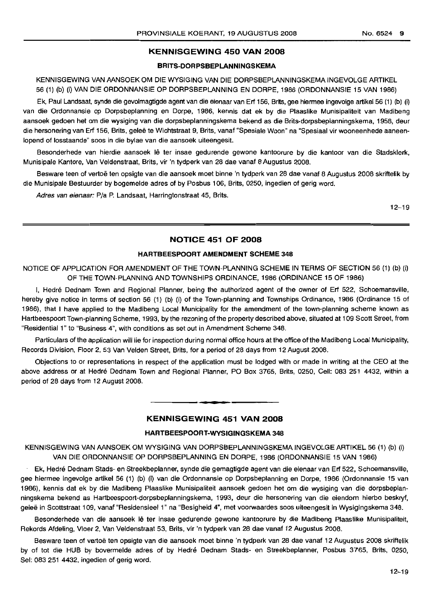## **BRITS-DORPSBEPLANNINGSKEMA**

KENNISGEWING VAN AANSOEK OM DIE WYSIGING VAN DIE DORPSBEPLANNINGSKEMA INGEVOLGE ARTIKEL 56 (1) (b) (i) VAN DIE ORDONNANSIE OP DORPSBEPLANNING EN DORPE, 1986 (ORDONNANSIE 15 VAN 1986)

Ek, Paul Landsaat, synde die gevolmagtigde agent van die eienaar van Erf 156, Brits, gee hiermee ingevolge artikel 56 (1) (b) (i) van die Ordonnansie op Dorpsbeplanning en Dorpe, 1986, kennis dat ek by die Plaaslike Munisipaliteit van Madibeng aansoek gedoen het om die wysiging van die dorpsbeplanningskema bekend as die Brits-dorpsbeplanningskema, 1958, deur die hersonering van Erf 156, Brits, geleë te Wichtstraat 9, Brits, vanaf "Spesiale Woon" na "Spesiaal vir wooneenhede aaneenlopend of losstaande" soos in die bylae van die aansoek uiteengesit.

Besonderhede van hierdie aansoek Iê ter insae gedurende gewone kantoorure by die kantoor van die Stadsklerk, Munisipale Kantore, Van Veldenstraat, Brits, vir 'n tydperk van 28 dae vanaf 8 Augustus 2008.

Besware teen of vertoë ten opsigte van die aansoek moet binne 'n tydperk van 28 dae vanaf 8 Augustus 2008 skriftelik by die Munisipale Bestuurder by bogemelde adres of by Posbus 106, Brits, 0250, ingedien of gerig word.

Adres van eienaar: P/a P. Landsaat, Harringtonstraat 45, Brits.

12-19

## **NOTICE 451 OF 2008**

## **HARTBEESPOORT AMENDMENT SCHEME 348**

NOTICE OF APPLICATION FOR AMENDMENT OF THE TOWN-PLANNING SCHEME IN TERMS OF SECTION 56 (1) (b) (i) OF THE TOWN-PLANNING AND TOWNSHIPS ORDINANCE, 1986 (ORDINANCE 15 OF 1986)

I, Hedre Dednam Town and Regional Planner, being the authorized agent of the owner of Erf 522, Schoemansville, hereby give notice in terms of section 56 (1) (b) (i) of the Town-planning and Townships Ordinance, 1986 (Ordinance 15 of 1986), that I have applied to the Madibeng Local Municipality for the amendment of the town-planning scheme known as Hartbeespoort Town-planning Scheme, 1993, by the rezoning of the property described above, situated at 109 Scott Street, from "Residential 1" to "Business 4", with conditions as set out in Amendment Scheme 348.

Particulars of the application will lie for inspection during normal office hours at the office of the Madibeng Local Municipality, Records Division, Floor 2, 53 Van Velden Street, Brits, for a period of 28 days from 12 August 2008.

Objections to or representations in respect of the application must be lodged with or made in writing at the CEO at the above address or at Hedre Dednam Town and Regional Planner, PO Box 3765, Brits, 0250, Cell: 083 251 4432, within a period of 28 days from 12 August 2008.

## **KENNISGEWING 451 VAN 2008**

**1\_.**

## **HARTBEESPOORT-WVSIGINGSKEMA 348**

KENNISGEWING VAN AANSOEK OM WYSIGING VAN DORPSBEPLANNINGSKEMA INGEVOLGE ARTIKEL 56 (1) (b) (i) VAN DIE OHDONNANSIE OP DORPSBEPLANNING EN DORPE, 1986 (ORDONNANSIE 15 VAN 1986)

Ek, Hedre Dednarn Stads- en Streekbeplanner, synde die gemagtigde aqent van die eienaar van Erf 522, Schoemansville, gee hiermee inqevolqe artikel 56 (1) (b) (i) van die Ordonnansie op Dorpsbeplanning en Dorpe, 1986 (Ordonnansie 15 van 1986), kennis dat ek by die Madibeng Plaaslike Munisipaliteit aansoek gedoen het om die wysiging van die dorpsbeplanningskema bekend as Hartbeespoort-dorpsbeplanningskema, 1993, deur die hersonering van die eiendom hierbo beskryf, geleë in Scottstraat 109, vanaf "Residensieel 1" na "Besigheid 4", met voorwaardes soos uiteengesit in Wysigingskema 348.

Besonderhede van die aansoek lê ter insae gedurende gewone kantoorure by die Madibeng Plaaslike Munisipaliteit, Rekords Afdeling, Vloer 2, Van Veldenstraat 53, Brits, vir 'n tydperk van 28 dae vanaf 12 Augustus 2008.

Besware teen of vertoe ten opsigte van die aansoek moet binne 'n tydperk van 28 dae vanaf 12 Augustus 2008 skriftelik by of tot die HUB by bovermelde adres of by Hedre Dednam Stads- en Streekbeplanner, Posbus 3765, Brits, 0250, Sel: 083 251 4432, ingedien of gerig word.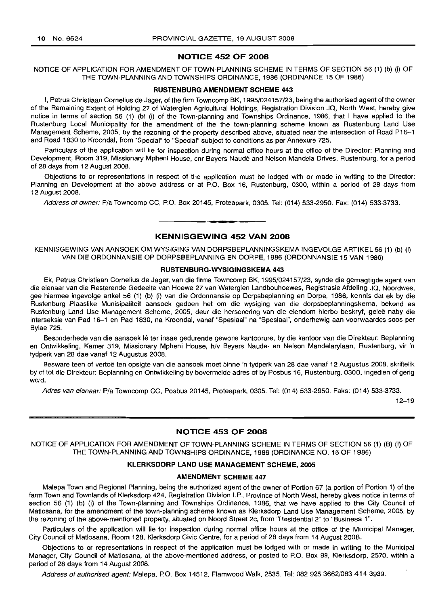## **NOTICE 452 OF 2008**

## NOTICE OF APPLICATION FOR AMENDMENT OF TOWN-PLANNING SCHEME IN TERMS OF SECTION 56 (1) (b) (i) OF THE TOWN-PLANNING AND TOWNSHIPS ORDINANCE, 1986 (ORDINANCE 15 OF 1986)

## **RUSTENBURG AMENDMENT SCHEME 443**

I, Petrus Christiaan Cornelius de Jager, of the firm Towncomp BK, 1995/024157/23, being the authorised agent of the owner of the Remaining Extent of Holding 27 of Waterglen Agricultural Holdings, Registration Division JQ, North West, hereby give notice in terms of section 56 (1) (b) (i) of the Town-planning and Townships Ordinance, 1986, that I have applied to the Rustenburg Local Municipality for the amendment of the the town-planning scheme known as Rustenburg Land Use Management Scheme, 2005, by the rezoning of the property described above, situated near the intersection of Road P16-1 and Road 1830 to Kroondal, from "Special" to "Special" subject to conditions as per Annexure 725.

Particulars of the application will lie for inspection during normal office hours at the office of the Director: Planning and Development, Room 319, Missionary Mpheni House, cnr Beyers Naude and Nelson Mandela Drives, Rustenburg, for a period of 28 days from 12 August 2008.

Objections to or representations in respect of the application must be lodged with or made in writing to the Director: Planning en Development at the above address or at P.O. Box 16, Rustenburg, 0300, within a period of 28 days from 12 August 2008.

Address of owner: Pia Towncomp CC, P.O. Box 20145, Proteapark, 0305. Tel: (014) 533-2950. Fax: (014) 533-3733.

# **• KENNISGEWING 452 VAN 2008**

KENNISGEWING VAN AANSOEK OM WYSIGING VAN DORPSBEPLANNINGSKEMA INGEVOLGE ARTIKEL 56 (1) (b) (i) VAN DIE ORDONNANSIE OP DORPSBEPLANNING EN DORPE, 1986 (ORDONNANSIE 15 VAN 1986)

#### **RUSTENBURG-WYSIGINGSKEMA 443**

Ek, Petrus Christiaan Cornelius de Jager, van die firma Towncomp BK, 1995/024157/23, synde die gemagtigde agent van die eienaar van die Resterende Gedeelte van Hoewe 27 van Waterglen Landbouhoewes, Registrasie Afdeling JQ, Noordwes, gee hiermee ingevolge artkel 56 (1) (b) (i) van die Ordonnansie op Dorpsbeplanning en Dorpe, 1986, kennis dat ek by die Rustenburg Plaaslike Munisipaliteit aansoek gedoen het om die wysiging van die dorpsbeplanningskema, bekend as Rustenburg Land Use Management Scheme, 2005, deur die hersonering van die eiendom hierbo beskryf, gelee naby die interseksie van Pad 16-1 en Pad 1830, na Kroondal, vanaf "Spesiaal" na "Spesiaal", onderhewig aan voorwaardes soos per Bylae 725.

Besonderhede van die aansoek lê ter insae gedurende gewone kantoorure, by die kantoor van die Direkteur: Beplanning en Ontwikkeling, Kamer 319, Missionary Mpheni House, h/v Beyers Naude- en Nelson Mandelarylaan, Rustenburg, vir 'n tydperk van 28 dae vanaf 12 Augustus 2008.

Besware teen of vertoë ten opsigte van die aansoek moet binne 'n tydperk van 28 dae vanaf 12 Augustus 2008, skriftelik by of tot die Direkteur: Beplanning en Ontwikkeling by bovermelde adres of by Posbus 16, Rustenburg, 0300, ingedien of gerig word.

Adres van eienaar: Pia Towncomp CC, Posbus 20145, Proteapark, 0305. Tel: (014) 533-2950. Faks: (014) 533-3733.

12-19

## **NOTICE 453 OF 2008**

NOTICE OF APPLICATION FOR AMENDMENT OF TOWN-PLANNING SCHEME IN TERMS OF SECTION 56 (1) (B) (I) OF THE TOWN-PLANNING AND TOWNSHIPS ORDINANCE, 1986 (ORDINANCE NO. 15 OF 1986)

#### **KLERKSDORP LAND USE MANAGEMENT SCHEME, 2005**

#### **AMENDMENT SCHEME 447**

Malepa Town and Regional Planning, being the authorized agent of the owner of Portion 67 (a portion of Portion 1) of the farm Town and Townlands of Klerksdorp 424, Registration Division I.P., Province of North West, hereby gives notice in terms of section 56 (1) (b) (i) of the Town-planning and Townships Ordinance, 1986, that we have applied to the City Council of Matlosana, for the amendment of the town-planning scheme known as Klerksdorp Land Use Management Scheme, 2005, by the rezoning of the above-mentioned property, situated on Noord Street 2c, from "Residential 2" to "Business 1".

Particulars of the application will lie for inspection during normal office hours at the office of the Municipal Manager, City Council of Matlosana, Room 128, Klerksdorp Civic Centre, for a period of 28 days from 14 August 2008.

Objections to or representations in respect of the application must be lodged with or made in writing to the Municipal Manager, City Council of Matlosana, at the above-mentioned address, or posted to P.O. Box 99, Klerksdorp, 2570, within a period of 28 days from 14 August 2008.

Address of authorised agent: Malepa, P.O. Box 14512, Flamwood Walk, 2535. Tel: 082 925 3662/083 414 3939.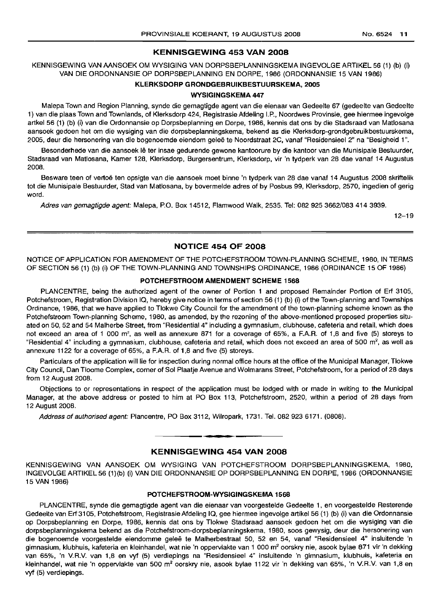## **KENNISGEWING 453 VAN 2008**

KENNISGEWING VAN AANSOEK OM WYSIGING VAN DORPSBEPLANNINGSKEMA INGEVOLGE ARTIKEL 56 (1) (b) (i) VAN DIE ORDONNANSIE OP DORPSBEPLANNING EN DORPE, 1986 (ORDONNANSIE 15 VAN 1986)

#### **KLERKSDORP GRONDGEBRLlIKBESTULlRSKEMA, 2005**

## **WYSIGINGSKEMA 447**

Malepa Town and Region Planning, synde die gemagtigde agent van die eienaar van Gedeelte 67 (gedeelte van Gedeelte 1) van die plaas Town and Townlands, of Klerksdorp 424, Registrasie Afdeling I.P., Noordwes Provinsie, gee hiermee ingevolge artkel 56 (1) (b) (i) van die Ordonnansie op Dorpsbeplanning en Dorpe, 1986, kennis dat ons by die Stadsraad van Matlosana aansoek gedoen het om die wysiging van die dorpsbeplanningskema, bekend as die Klerksdorp-grondgebruikbestuurskema, 2005, deur die hersonering van die bogenoemde eiendom gelee te Noordstraat 2C, vanaf "Residensieel 2" na "Besigheid 1".

Besonderhede van die aansoek Ie ter insae gedurende gewone kantoorure by die kantoor van die Munisipale Bestuurder, Stadsraad van Matlosana, Kamer 128, Klerksdorp, Burgersentrum, Klerksdorp, vir 'n tydperk van 28 dae vanaf 14 Augustus 2008.

Besware teen of vertoe ten opsigte van die aansoek moet binne 'n tydperk van 28 dae vanaf 14 Augustus 2008 skriftelik tot die Munisipale Besluurder, Stad van Matlosana, by bovermelde adres of by Posbus 99, Klerksdorp, 2570, ingedien of gerig word.

Adres van gemagtigde agent: Malepa, P.O. Box 14512, Flamwood Walk, 2535. Tel: 082 925 3662/083 414 3939.

12-19

## **NOTICE 454 OF 2008**

NOTICE OF APPLICATION FOR AMENDMENT OF THE POTCHEFSTROOM TOWN-PLANNING SCHEME, 1980, IN TERMS OF SECTION 56 (1) (b) (i) OF THE TOWN-PLANNING AND TOWNSHIPS ORDINANCE, 1986 (ORDINANCE 15 OF 1986)

#### **POTCHEFSTROOM AMENDMENT SCHEME 1568**

PLANCENTRE, being the authorized agent of the owner of Portion 1 and proposed Remainder Portion of Erf 3105, Potchefstroom, Registration Division IQ, hereby give notice in terms of section 56 (1) (b) (i) of the Town-planning and Townships Ordinance, 1986, that we have applied to Tlokwe City Council for the amendment of the town-planning scheme known as the Potchefstroom Town-planning Scheme, 1980, as amended, by the rezoning of the above-mentioned proposed properties situated on 50, 52 and 54 Malherbe Street, from "Residential 4" including a gymnasium, clubhouse, cafeteria and retail, which does not exceed an area of 1 000 m<sup>2</sup>, as well as annexure 871 for a coverage of 65%, a F.A.R. of 1,8 and five (5) storeys to "Residential 4" including a gymnasium, clubhouse, cafeteria and retail, which does not exceed an area of 500 m<sup>2</sup>, as well as annexure 1122 for a coverage of 65%, a F.A.R. of 1,8 and five (5) storeys.

Particulars of the application will lie for inspection during normal office hours at the office of the Municipal Manager, Tlokwe City Council, Dan Tloome Complex, corner of Sol Plaatje Avenue and Wolmarans Street, Potchefstroom, for a period of 28 days from 12 August 2008.

Objections to or representations in respect of the application must be lodged with or made in writing to the Municipal Manager, at the above address or posted to him at PO Box 113, Potchefstroom, 2520, within a period of 28 days from 12 August 2008.

Address of authorised agent: Plancentre, PO Box 3112, Wilropark, 1731. Tel. 082 923 6171. (0808).

## **KENNISGEWING 454 VAN 2008**

**I. I**

KENNISGEWING VAN AANSOEK OM WYSIGING VAN POTCHEFSTROOM DORPSBEPLANNINGSKEMA, 1980, INGEVOLGE ARTIKEL 56 (1)(b) (i) VAN DIE ORDONNANSIE OP DORPSBEPLANNING EN DORPE, 1986 (ORDONNANSIE 15 VAN 1986)

#### **POTCHEFSTROOM-WYSIGINGSKEMA 1568**

PLANCENTRE, synde die gemagtigde agent van die eienaar van voorgestelde Gedeelte 1, en voorgestelde Resterende Gedeelte van Erf 3105, Potchefstroom, Registrasie Afdeling IQ, gee hiermee ingevolge artikel 56 (1) (b) (i) van die Ordonnansie op Dorpsbeplanning en Dorpe, 1986, kennis dat ons by Tlokwe Stadsraad aansoek gedoen het om die wysiging van die dorpsbeplanningskema bekend as die Potchefstroom-dorpsbeplanningskema, 1980, soos gewysig, deur die hersonering van die bogenoemde voorgestelde eiendomme geleë te Malherbestraat 50, 52 en 54, vanaf "Residensieel 4" insluitende 'n gimnasium, klubhuis, kafeteria en kleinhandel, wat nie 'n oppervlakte van 1 000 m<sup>2</sup> oorskry nie, asook bylae 871 vir 'n dekking van 65%, 'n V.R.V. van 1,8 en vyf (5) verdiepings na "Residensieel 4" insluitende 'n gimnasium, klubhuis, kafeteria en kleinhandel, wat nie 'n oppervlakte van 500 m2 oorskry nie, asook bylae 1122 vir 'n dekking van 65%, 'n V.R.V. van 1,8 en vyf (5) verdiepings.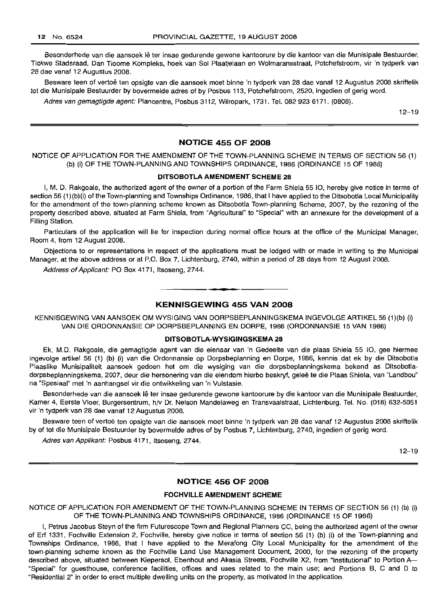Besonderhede van die aansoek lê ter insae gedurende gewone kantoorure by die kantoor van die Munisipale Bestuurder, Tlokwe Stadsraad, Dan Tloome Kompleks, hoek van Sol Plaatjelaan en Wolmaransstraat, Potchefstroom, vir 'n tydperk van 28 dae vanaf 12 Augustus 2008.

Besware teen of vertoë ten opsigte van die aansoek moet binne 'n tydperk van 28 dae vanaf 12 Augustus 2008 skriftelik tot die Munisipale Bestuurder by bovermelde adres of by Posbus 113, Potchefstroom, 2520, ingedien of gerig word.

Adres van gemagtigde agent: Plancentre, Posbus 3112, Wilropark, 1731. Tel. 082 923 6171. (0808).

12-19

## **NOTICE 455 OF 2008**

NOTICE OF APPLICATION FOR THE AMENDMENT OF THE TOWN-PLANNING SCHEME IN TERMS OF SECTION 56 (1) (b) (i) OF THE TOWN-PLANNING AND TOWNSHIPS ORDINANCE, 1986 (ORDINANCE 15 OF 1986)

## **DITSOBOTLA AMENDMENT SCHEME 28**

I, M. D. Rakgoale, the authorized agent of the owner of a portion of the Farm Shiela 55 10, hereby give notice in terms of section 56 (1)(b)(i) of the Town-planning and Townships Ordinance, 1986, that I have applied to the Ditsobotla Local Municipality for the amendment of the town-planning scheme known as Ditsobotla Town-planning Scheme, 2007, by the rezoning of the property described above, situated at Farm Shiela, from "Agricultural" to "Special" with an annexure for the development of a Filling Station.

Particulars of the application will lie for inspection during normal office hours at the office of the Municipal Manager, Room 4, from 12 August 2008.

Objections to or representations in respect of the applications must be lodged with or made in writing to the Municipal Manager, at the above address or at P.O. Box 7, Lichtenburg, 2740, within a period of 28 days from 12 August 2008.

Address of Applicant: PO Box 4171, Itsoseng, 2744.

## **KENNISGEWING 455 VAN 2008**

**• •**

KENNISGEWING VAN AANSOEK OM WYSIGING VAN DORPSBEPLANNINGSKEMA INGEVOLGE ARTIKEL 56 (1)(b) (i) VAN DIE ORDONNANSIE OP DORPSBEPLANNING EN DORPE, 1986 (ORDONNANSIE 15 VAN 1986)

## **DITSOBOTLA-WYSIGINGSKEMA 28**

Ek, M.D. Rakgoale, die gemagtigde agent van die eienaar van 'n Gedeelte van die plaas Shiela 55 10, gee hiermee ingevolge artikel 56 (1) (b) (i) van die Ordonnansie op Dorpsbeplanning en Dorpe, 1986, kennis dat ek by die Ditsobotla Plaaslike Munisipaliteit aansoek gedoen het om die wysiging van die dorpsbeplanningskema bekend as Ditsobotladorpsbeplanningskema, 2007, deur die hersonering van die eiendom hierbo beskryf, geleë te die Plaas Shiela, van "Landbou" na "Spesiaal" met 'n aanhangsel vir die ontwikkeling van 'n Vulstasie.

Besonderhede van die aansoek lê ter insae gedurende gewone kantoorure by die kantoor van die Munisipale Bestuurder, Kamer 4, Eerste Vloer, Burgersentrum, h/v Dr. Nelson Mandelaweg en Transvaalstraat, Lichtenburg. Tel. No. (018) 632-5051 vir 'n tydperk van 28 dae vanaf 12 Augustus 2008.

Besware teen of vertoë ten opsigte van die aansoek moet binne 'n tydperk van 28 dae vanaf 12 Augustus 2008 skriftelik by of tot die Munisipale Bestuurder by bovermelde adres of by Posbus 7, Lichtenburg, 2740, ingedien of gerig word.

Adres van Applikant: Posbus 4171, Itsoseng, 2744.

12-19

## **NOTICE 456 OF 2008**

#### **FOCHVILLE AMENDMENT SCHEME**

NOTICE OF APPLICATION FOR AMENDMENT OF THE TOWN-PLANNING SCHEME IN TERMS OF SECTION 56 (1) (b) (i) OF THE TOWN-PLANNING AND TOWNSHIPS ORDINANCE, 1986 (ORDINANCE 15 OF 1986)

I, Petrus Jacobus Steyn of the firm Futurescope Town and Regional Planners CC, being the authorized agent of the owner of Erf 1331, Fochville Extension 2, Fochville, hereby give notice in terms of section 56 (1) (b) (i) of the Town-planning and Townships Ordinance, 1986, that I have applied to the Merafong City Local Municipality for the amendment of the town-planning scheme known as the Fochville Land Use Management Document, 2000, for the rezoning of the property described above, situated between Kiepersol, Ebenhout and Akasia Streets, Fochville X2, from "Institutional" to Portion A- "Special" for guesthouse, conference facilities, offices and uses related to the main use; and Portions B, C and 0 to "Residential 2" in order to erect multiple dwelling units on the property, as motivated in the application.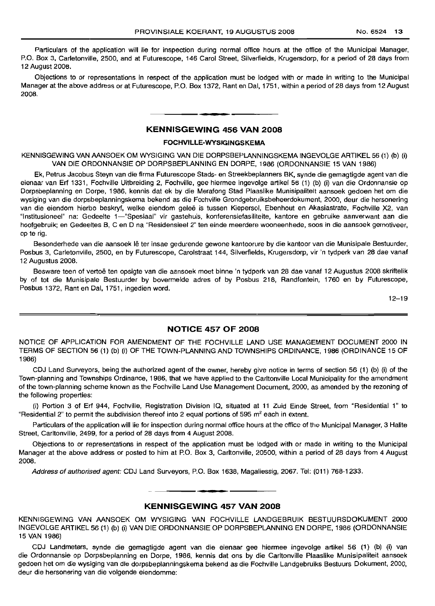Particulars of the application will lie for inspection during normal office hours at the office of the Municipal Manager, P.O. Box 3, Carletonville, 2500, and at Futurescope, 146 Carol Street, Silverfields, Krugersdorp, for a period of 28 days from 12 August 2008.

Objections to or representations in respect of the application must be lodged with or made in writing to the Municipal Manager at the above address or at Futurescope, P.O. Box 1372, Rant en Dal, 1751, within a period of 28 days from 12 August 2008. .**-.**

## **KENNISGEWING 456 VAN 2008**

#### **FOCHVILLE·WYSIGINGSKEMA**

KENNISGEWING VAN AANSOEK OM WYSIGING VAN DIE DORPSBEPLANNINGSKEMA INGEVOLGE ARTIKEL 56 (1) (b) (i) VAN DIE ORDONNANSIE OP DORPSBEPLANNING EN DORPE, 1986 (ORDONNANSIE 15 VAN 1986)

Ek, Petrus Jacobus Steyn van die firma Futurescope Stads- en Streekbeplanners BK, synde die gemagtigde agent van die eienaar van Erf 1331, Fochville Uitbreiding 2, Fochville, gee hiermee ingevolge artikel 56 (1) (b) (i) van die Ordonnansie op Dorpsbeplanning en Dorpe, 1986, kennis dat ek by die Merafong Stad Plaaslike Munisipaliteit aansoek gedoen het om die wysiging van die dorpsbeplanningskema bekend as die Fochville Grondgebruiksbeheerdokument, 2000, deur die hersonering van die eiendom hierbo beskryf, welke eiendom geleë is tussen Kiepersol, Ebenhout en Akasiastrate, Fochville X2, van "Institusioneel" na: Gedeelte 1-"Spesiaal" vir gastehuis, konferensiefasiliteite, kantore en gebruike aanverwant aan die hoofgebruik; en Gedeeltes B, C en D na "Residensieel 2" ten einde meerdere wooneenhede, soos in die aansoek gemotiveer, op te rig.

Besonderhede van die aansoek lê ter insae gedurende gewone kantoorure by die kantoor van die Munisipale Bestuurder, Posbus 3, Carletonville, 2500, en by Futurescope, Carolstraat 144, Silverfields, Krugersdorp, vir 'n tydperk van 28 dae vanaf 12 Augustus 2008.

Besware teen of vertoë ten opsigte van die aansoek moet binne 'n tydperk van 28 dae vanaf 12 Augustus 2008 skriftelik by of tot die Munisipale Bestuurder by bovermelde adres of by Posbus 218, Randfontein, 1760 en by Futurescope, Posbus 1372, Rant en Dal, 1751, ingedien word.

12-19

## **NOTICE 457 OF 2008**

NOTICE OF APPLICATION FOR AMENDMENT OF THE FOCHVILLE LAND USE MANAGEMENT DOCUMENT 2000 IN TERMS OF SECTION 56 (1) (b) (i) OF THE TOWN-PLANNING AND TOWNSHIPS ORDINANCE, 1986 (ORDINANCE 15 OF 1986)

CDJ Land Surveyors, being the authorized agent of the owner, hereby give notice in terms of section 56 (1) (b) (i) of the Town-planning and Townships Ordinance, 1986, that we have applied to the Carltonville Local Municipality for the amendment of the town-planning scheme known as the Fochville Land Use Management Document, 2000, as amended by the rezoning of the following properties:

(i) Portion 3 of Erf 944, Fochville, Registration Division 10, situated at 11 Zuid Einde Street, from "Residential 1" to "Residential 2" to permit the subdivision thereof into 2 equal portions of 595  $m<sup>2</sup>$  each in extent.

Particulars of the application will lie for inspection during normal office hours at the office of the Municipal Manager, 3 Halite Street, Carltonville, 2499, for a period of 28 days from 4 August 2008.

Objections to or representations in respect of the application must be lodged with or made in writing to the Municipal Manager at the above address or posted to him at P.O. Box 3, Carltonville, 20500, within a period of 28 days from 4 August 2008.

Address of authorised agent: CDJ Land Surveyors, P.O. Box 1638, Magaliessig, 2067. Tel: (011) 768-1233.

# • **• • KENNISGEWING 457 VAN 2008**

KENNISGEWING VAN MNSOEK OM WYSIGING VAN FOCHVILLE LANDGEBRUIK BESTUURSDOKUMENT 2000 INGEVOLGEARTIKEL56 (1) (b) (i) VAN DIE ORDONNANSIE OP DORPSBEPLANNING EN DORPE, 1986 (ORDONNANSIE 15 VAN 1986)

CDJ Landmeters, synde die gemagtigde agent van die eienaar gee hiermee ingevolge artikel 56 (1) (b) (i) van die Ordonnansie op Dorpsbeplanning en Dorpe, 1986, kennis dat ons by die Carltonville Plaaslike Munisipaliteit aansoek gedoen het om die wysiging van die dorpsbeplanningskema bekend as die Fochville Landgebruiks Bestuurs Dokument, 2000, deur die hersonering van die volgende eiendomme: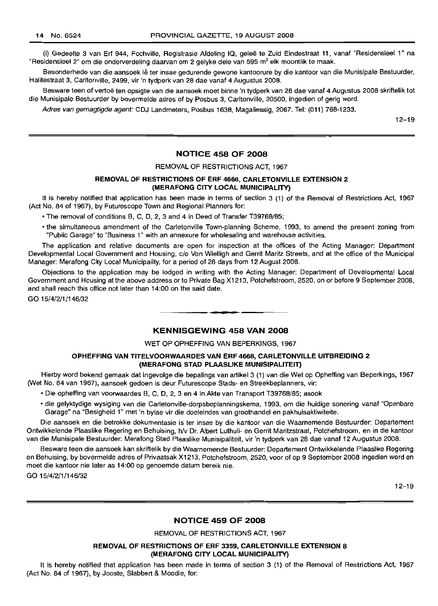(i) Gedeelte 3 van Erf 944, Fochville, Registrasie Afdeling IQ, gelee te Zuid Eindestraat 11, vanaf "Residensieel 1" na "Residensieel 2" om die onderverdeling daarvan om 2 gelyke dele van 595 m<sup>2</sup> elk moontlik te maak.

Besonderhede van die aansoek lê ter insae gedurende gewone kantoorure by die kantoor van die Munisipale Bestuurder, Halitestraat 3, Carltonville, 2499, vir 'n tydperk van 28 dae vanaf 4 Augustus 2008.

Besware teen of vertoë ten opsigte van die aansoek moet binne 'n tydperk van 28 dae vanaf 4 Augustus 2008 skriftelik tot die Munisipale Bestuurder by bovermelde adres of by Posbus 3, Carltonville, 20500, ingedien of gerig word.

Adres van gemagtigde agent: CDJ Landmeters, Posbus 1638, Magaliessig, 2067. Tel: (011) 768-1233.

12-19

## NOTICE 458 OF 2008

REMOVAL OF RESTRICTIONS ACT, 1967

## REMOVAL OF RESTRICTIONS OF ERF 4668, CARLETONVILLE EXTENSION 2 (MERAFONG CITY LOCAL MUNICIPALITY)

It is hereby notified that application has been made in terms of section 3 (1) of the Removal of Restrictions Act, 1967 (Act No. 84 of 1967), by Futurescope Town and Regional Planners for:

- The removal of conditions B, C, D, 2, 3 and 4 in Deed of Transfer T39768/85;
- the simultaneous amendment of the Carletonville Town-planning Scheme, 1993, to amend the present zoning from "Public Garage" to "Business 1" with an annexure for wholesaling and warehouse activities.

The application and relative documents are open for inspection at the offices of the Acting Manager: Department Developmental Local Government and Housing, c/o Von Wielligh and Gerrit Maritz Streets, and at the office of the Municipal Manager: Merafong City Local Municipality, for a period of 28 days from 12 August 2008.

Objections to the application may be lodged in writing with the Acting Manager: Department of Developmental Local Government and Housing at the above address or to Private Bag X1213, Potchefstroom, 2520, on or before 9 September 2008, and shall reach this office not later than 14:00 on the said date.

GO 15/4/2/1/146/32

## KENNISGEWING 458 VAN 2008

**-**

WET OP OPHEFFING VAN BEPERKINGS, 1967

## OPHEFFING VAN TITELVOORWAARDES VAN ERF 4668, CARLETONVILLE UITBREIDING 2 (MERAFONG STAD PLAASLIKE MUNISIPALITEIT)

Hierby word bekend gemaak dat ingevolge die bepalings van artikel 3 (1) van die Wet op Opheffing van Beperkings, 1967 (Wet No. 84 van 1967), aansoek gedoen is deur Futurescope Stads- en Streekbeplanners, vir:

- Die opheffing van voorwaardes B, C, D, 2, 3 en 4 in Akte van Transport T39768/85; asook
- die gelyktydige wysiging van die Carletonville-dorpsbeplanningskema, 1993, om die huidige sonering vanaf "Openbare Garage" na "Besigheid 1" met 'n bylae vir die doeleindes van groothandel en pakhuisaktiwiteite.

Die aansoek en die betrokke dokumentasie is ter insae by die kantoor van die Waarnemende Bestuurder: Departement Ontwikkelende Plaaslike Regering en Behuising, h/v Dr. Albert Luthuli- en Gerrit Maritzstraat, Potchefstroom, en in die kantoor van die Munisipale Bestuurder: Merafong Stad Plaaslike Munisipaliteit, vir 'n tydperk van 28 dae vanaf 12 Augustus 2008.

Besware teen die aansoek kan skriftelik by die Waarnemende Bestuurder: Departement Ontwikkelende Plaaslike Regering en Behuising, by bovermelde adres of Privaatsak X1213, Potchefstroom, 2520, voor of op 9 September 2008 ingedien word en moet die kantoor nie later as 14:00 op genoemde datum bereik nie.

GO 15/4/2/1/146/32

12-19

## NOTICE 459 OF 2008

REMOVAL OF RESTRICTIONS ACT, 1967

## REMOVAL OF RESTRICTIONS OF ERF 3359, CARLETONVILLE EXTENSION 8 (MERAFONG CITY LOCAL MUNICIPALITY)

It is hereby notified that application has been made in terms of section 3 (1) of the Removal of Restrictions Act, 1967 (Act No. 84 of 1967), by Jooste, Siabbert & Moodie, for: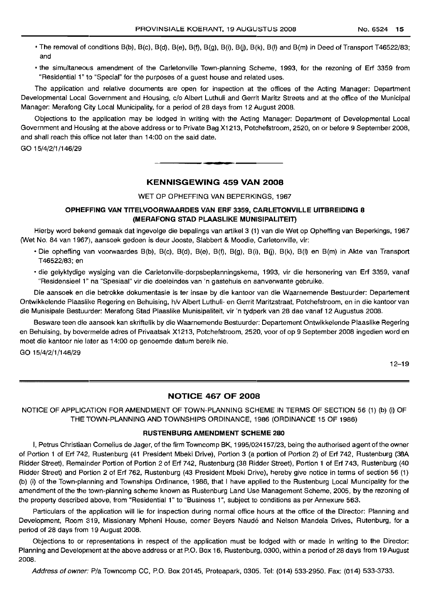- The removal of conditions B(b), B(c), B(d), B(e), B(f), B(g), B(i), BQ), B(k), B(I) and B(m) in Deed of Transport T46522/83; and
- the simultaneous amendment of the Carletonville Town-planning Scheme, 1993, for the rezoning of Erf 3359 from "Residential 1" to "Special" for the purposes of a guest house and related uses.

The application and relative documents are open for inspection at the offices of the Acting Manager: Department Developmental Local Government and Housing, c/o Albert Luthuli and Gerrit Maritz Streets and at the office of the Municipal Manager: Merafong City Local Municipality, for a period of 28 days from 12 August 2008.

Objections to the application may be lodged in writing with the Acting Manager: Department of Developmental Local Government and Housing at the above address or to Private Bag X1213, Potchefstroom, 2520, on or before 9 September 2008, and shall reach this office not later than 14:00 on the said date.

GO 15/4/2/1/146/29

## KENNISGEWING 459 VAN 2008

**-**

WET OP OPHEFFING VAN BEPERKINGS, 1967

## OPHEFFING VAN TITELVOORWAARDES VAN ERF 3359, CARLETONVILLE UITBREIDING 8 (MERAFONG STAD PLAASLIKE MUNISIPALITEIT)

Hierby word bekend gemaak dat ingevolge die bepalings van artikel 3 (1) van die Wet op Opheffing van Beperkings, 1967 (Wet No. 84 van 1967), aansoek gedoen is deur Jooste, Siabbert & Moodie, Carletonville, vir:

- Die opheffing van voorwaardes B(b), B(c), B(d), B(e), B(f), B(g), B(i), BQ), B(k), B(I) en B(m) in Akte van Transport T46522/83; en
- die gelyktydige wysiging van die Carletonville-dorpsbeplanningskema, 1993, vir die hersonering van Erf 3359, vanaf "Residensieel 1" na "Spesiaal" vir die doeleindes van 'n gastehuis en aanverwante gebruike.

Die aansoek en die betrokke dokumentasie is ter insae by die kantoor van die Waarnemende Bestuurder: Departement Ontwikkelende Plaaslike Regering en Behuising, h/v Albert Luthuli- en Gerrit Maritzstraat, Potchefstroom, en in die kantoor van die Munisipale Bestuurder: Merafong Stad Plaaslike Munisipaliteit, vir 'n tydperk van 28 dae vanaf 12 Augustus 2008.

Besware teen die aansoek kan skriftelik by die Waarnemende Bestuurder: Departement Ontwikkelende Plaaslike Regering en Behuising, by bovermelde adres of Privaatsak X1213, Potchefstroom, 2520, voor of op 9 September 2008 ingedien word en moet die kantoor nie later as 14:00 op genoemde datum bereik nie.

GO 15/4/2/1/146/29

12-19

## NOTICE 467 OF 2008

NOTICE OF APPLICATION FOR AMENDMENT OF TOWN-PLANNING SCHEME IN TERMS OF SECTION 56 (1) (b) (i) OF THE TOWN-PLANNING AND TOWNSHIPS ORDINANCE, 1986 (ORDINANCE 15 OF 1986)

## RUSTENBURG AMENDMENT SCHEME 280

I, Petrus Christiaan Cornelius de Jager, of the firm Towncomp BK, 1995/024157/23, being the authorised agent of the owner of Portion 1 of Erf 742, Rustenburg (41 President Mbeki Drive), Portion 3 (a portion of Portion 2) of Erf 742, Rustenburg (38A Ridder Street), Remainder Portion of Portion 2 of Erf 742, Rustenburg (38 Ridder Street), Portion 1 of Erf 743, Rustenburg (40 Ridder Street) and Portion 2 of Erf 762, Rustenburg (43 President Mbeki Drive), hereby give notice in terms of section 56 (1) (b) (i) of the Town-planning and Townships Ordinance, 1986, that I have applied to the Rustenburg Local Muncipality for the amendment of the the town-planning scheme known as Rustenburg Land Use Management Scheme, 2005, by the rezoning of the property described above, from "Residential 1" to "Business 1", subject to conditions as per Annexure 563.

Particulars of the application will lie for inspection during normal office hours at the office of the Director: Planning and Development, Room 319, Missionary Mpheni House, corner Beyers Naudé and Nelson Mandela Drives, Rutenburg, for a period of 28 days from 19 August 2008.

Objections to or representations in respect of the application must be lodged with or made in writing to the Director: Planning and Development at the above address or at P.O. Box 16, Rustenburg, 0300, within a period of 28 days from 19 August 2008.

Address of owner: P/a Towncomp CC, P.O. Box 20145, Proteapark, 0305. Tel: (014) 533-2950. Fax: (014) 533-3733.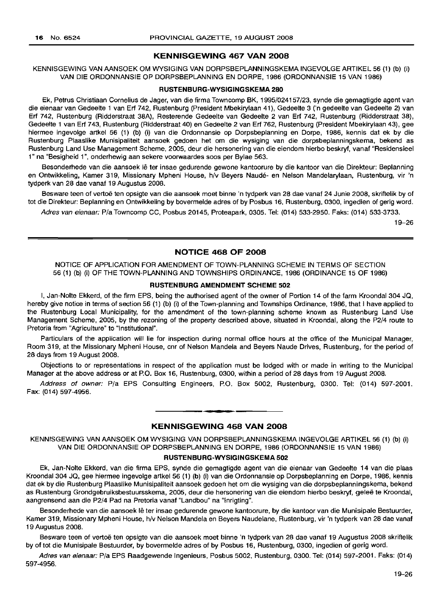## **KENNISGEWING 467 VAN 2008**

KENNISGEWING VAN AANSOEK OM WYSIGING VAN DORPSBEPLANNINGSKEMA INGEVOLGE ARTIKEL 56 (1) (b) (i) VAN DIE ORDONNANSIE OP DORPSBEPLANNING EN DORPE, 1986 (ORDONNANSIE 15 VAN 1986)

#### **RUSTENBURG-WYSIGINGSKEMA 280**

Ek, Petrus Christiaan Cornelius de Jager, van die firma Towncomp BK, 1995/024157/23, synde die gemagtigde agent van die eienaar van Gedeelte 1 van Erf 742, Rustenburg (President Mbekirylaan 41), Gedeelte 3 ('n gedeelte van Gedeelte 2) van Erf 742, Rustenburg (Ridderstraat 38A), Resterende Gedeelte van Gedeelte 2 van Erf 742, Rustenburg (Ridderstraat 38), Gedeelte 1 van Erf 743, Rustenburg (Ridderstraat 40) en Gedeelte 2 van Erf 762, Rustenburg (President Mbekirylaan 43), gee hiermee ingevolge artkel 56 (1) (b) (i) van die Ordonnansie op Dorpsbeplanning en Dorpe, 1986, kennis dat ek by die Rustenburg Plaaslike Munisipaliteit aansoek gedoen het om die wysiging van die dorpsbeplanningskema, bekend as Rustenburg Land Use Management Scheme, 2005, deur die hersonering van die eiendom hierbo beskryf, vanaf "Residensieel 1" na "Besigheid 1", onderhewig aan sekere voorwaardes soos per Bylae 563.

Besonderhede van die aansoek lê ter insae gedurende gewone kantoorure by die kantoor van die Direkteur: Beplanning en Ontwikkeling, Kamer 319, Missionary Mpheni House, h/v Beyers Naude- en Nelson Mandelarylaan, Rustenburg, vir 'n tydperk van 28 dae vanaf 19 Augustus 2008.

Besware teen of vertoë ten opsigte van die aansoek moet binne 'n tydperk van 28 dae vanaf 24 Junie 2008, skriftelik by of tot die Direkteur: Beplanning en Ontwikkeling by bovermelde adres of by Posbus 16, Rustenburg, 0300, ingedien of gerig word.

Adres van eienaar: P/a Towncomp CC, Posbus 20145, Proteapark, 0305. Tel: (014) 533-2950. Faks: (014) 533-3733.

19-26

## **NOTICE 468 OF 2008**

NOTICE OF APPLICATION FOR AMENDMENT OF TOWN-PLANNING SCHEME IN TERMS OF SECTION 56 (1) (b) (i) OF THE TOWN-PLANNING AND TOWNSHIPS ORDINANCE, 1986 (ORDINANCE 15 OF 1986)

## **RUSTENBURG AMENDMENT SCHEME 502**

I, Jan-Nolte Ekkerd, of the firm EPS, being the authorised agent of the owner of Portion 14 of the farm Kroondal 304 JQ, hereby give notice in terms of section 56 (1) (b) (i) of the Town-planning and Townships Ordinance, 1986, that I have applied to the Rustenburg Local Municipality, for the amendment of the town-planning scheme known as Rustenburg Land Use Management Scheme, 2005, by the rezoning of the property described above, situated in Kroondal, along the P2/4 route to Pretoria from "Agriculture" to "Institutional".

Particulars of the application will lie for inspection during normal office hours at the office of the Municipal Manager, Room 319, at the Missionary Mpheni House, cnr of Nelson Mandela and Beyers Naude Drives, Rustenburg, for the period of 28 days from 19 August 2008.

Objections to or representations in respect of the application must be lodged with or made in writing to the Municipal Manager at the above address or at P.O. Box 16, Rustenburg, 0300, within a period of 28 days from 19 August 2008.

Address of owner: P/a EPS Consulting Engineers, P.O. Box 5002, Rustenburg, 0300. Tel: (014) 597-2001. Fax: (014) 597-4956.

## **KENNISGEWING 468 VAN 2008**

**I •**

KENNISGEWING VAN AANSOEK OM WYSIGING VAN DORPSBEPLANNINGSKEMA INGEVOLGE ARTIKEL 56 (1) (b) (i) VAN DIE ORDONNANSIE OP DORPSBEPLANNING EN DORPE, 1986 (ORDONNANSIE 15 VAN 1986)

## **RUSTENBURG-WYSIGINGSKEMA 502**

Ek, Jan-Nolte Ekkerd, van die firma EPS, synde die gemagtigde agent van die eienaar van Gedeelte 14 van die plaas Kroondal 304 JQ, gee hiermee ingevolge artkel 56 (1) (b) (i) van die Ordonnansie op Dorpsbeplanning en Dorpe, 1986, kennis dat ek by die Rustenburg Plaaslike Munisipaliteit aansoek gedoen het om die wysiging van die dorpsbeplanningskema, bekend as Rustenburg Grondgebruiksbestuursskema, 2005, deur die hersonering van die eiendom hierbo beskryf, geleë te Kroondal, aangrensend aan die P2/4 Pad na Pretoria vanaf "Landbou" na "Inrigting".

Besonderhede van die aansoek lê ter insae gedurende gewone kantoorure, by die kantoor van die Munisipale Bestuurder, Kamer 319, Missionary Mpheni House, h/v Nelson Mandela en Beyers Naudelane, Rustenburg, vir 'n tydperk van 28 dae vanaf 19 Augustus 2008.

Besware teen of vertoë ten opsigte van die aansoek moet binne 'n tydperk van 28 dae vanaf 19 Augustus 2008 skriftelik by of tot die Munisipale Bestuurder, by bovermelde adres of by Posbus 16, Rustenburg, 0300, ingedien of gerig word.

Adres van eienaar: P/a EPS Raadgewende Ingenieurs, Posbus 5002, Rustenburg, 0300. Tel: (014) 597-2001. Faks: (014) 597-4956.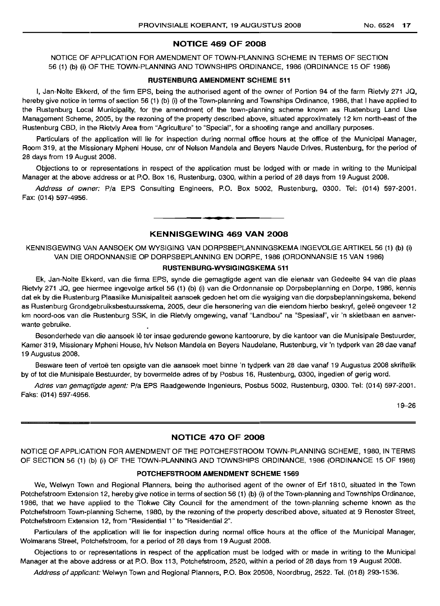## **NOTICE 469 OF 2008**

NOTICE OF APPLICATION FOR AMENDMENT OF TOWN-PLANNING SCHEME IN TERMS OF SECTION 56 (1) (b) (i) OF THE TOWN-PLANNING AND TOWNSHIPS ORDINANCE, 1986 (ORDINANCE 15 OF 1986)

## **RUSTENBURG AMENDMENT SCHEME 511**

I, Jan-Nolte Ekkerd, of the firm EPS, being the authorised agent of the owner of Portion 94 of the farm Rietvly 271 JQ, hereby give notice in terms of section 56 (1) (b) (i) of the Town-planning and Townships Ordinance, 1986, that I have applied to the Rustenburg Local Municipality, for the amendment of the town-planning scheme known as Rustenburg Land Use Management Scheme, 2005, by the rezoning of the property described above, situated approximately 12 km north-east of the Rustenburg CBD, in the Rietvly Area from "Agriculture" to "Special", for a shooting range and ancillary purposes.

Particulars of the application will lie for inspection during normal office hours at the office of the Municipal Manager, Room 319, at the Missionary Mpheni House, cnr of Nelson Mandela and Beyers Naude Drives, Rustenburg, for the period of 28 days from 19 August 2008.

Objections to or representations in respect of the application must be lodged with or made in writing to the Municipal Manager at the above address or at P.O. Box 16, Rustenburg, 0300, within a period of 28 days from 19 August 2008.

Address of owner: Pia EPS Consulting Engineers, P.O. Box 5002, Rustenburg, 0300. Tel: (014) 597-2001. Fax: (014) 597-4956.

## **KENNISGEWING 469 VAN 2008**

**. -**

KENNISGEWING VAN AANSOEK OM WYSIGING VAN DORPSBEPLANNINGSKEMA INGEVOLGE ARTIKEL 56 (1) (b) (i) VAN DIE ORDONNANSIE OP DORPSBEPLANNING EN DORPE, 1986 (ORDONNANSIE 15 VAN 1986)

#### **RUSTENBURG-WYSIGINGSKEMA** 511

Ek, Jan-Nolte Ekkerd, van die firma EPS, synde die gemagtigde agent van die eienaar van Gedeelte 94 van die plaas Rietvly 271 JQ, gee hiermee ingevolge artkel 56 (1) (b) (i) van die Ordonnansie op Dorpsbeplanning en Dorpe, 1986, kennis dat ek by die Rustenburg Plaaslike Munisipaliteit aansoek gedoen het om die wysiging van die dorpsbeplanningskema, bekend as Rustenburg Grondgebruiksbestuursskema, 2005, deur die hersonering van die eiendom hierbo beskryf, geleë ongeveer 12 km noord-oos van die Rustenburg SSK, in die Rietvly omgewing, vanaf "Landbou" na "Spesiaal", vir 'n skietbaan en aanverwante gebruike.

Besonderhede van die aansoek lê ter insae gedurende gewone kantoorure, by die kantoor van die Munisipale Bestuurder, Kamer 319, Missionary Mpheni House, h/v Nelson Mandela en Beyers Naudelane, Rustenburg, vir 'n tydperk van 28 dae vanaf 19 Augustus 2008.

Besware teen of vertoe ten opsigte van die aansoek moet binne 'n tydperk van 28 dae vanaf 19 Augustus 2008 skriftelik by of tot die Munisipale Bestuurder, by bovermelde adres of by Posbus 16, Rustenburg, 0300, ingedien of gerig word.

Adres van gemagtigde agent: Pia EPS Raadgewende Ingenieurs, Posbus 5002, Rustenburg, 0300. Tel: (014) 597-2001. Faks: (014) 597-4956.

 $19 - 26$ 

## **NOTICE 470 OF 2008**

NOTICE OF APPLICATION FOR AMENDMENT OF THE POTCHEFSTROOM TOWN-PLANNING SCHEME, 1980, IN TERMS OF SECTION 56 (1) (b) (i) OF THE TOWN-PLANNING AND TOWNSHIPS ORDINANCE, 1986 (ORDINANCE 15 OF 1986)

## **POTCHEFSTROOM AMENDMENT SCHEME** 1569

We, Welwyn Town and Regional Planners, being the authorised agent of the owner of Erf 1810, situated in the Town Potchefstroom Extension 12, hereby give notice in terms of section 56 (1) (b) (i) of the Town-planning and Townships Ordinance, 1986, that we have applied to the Tlokwe City Council for the amendment of the town-planning scheme known as the Potchefstroom Town-planning Scheme, 1980, by the rezoning of the property described above, situated at 9 Renoster Street, Potchefstroom Extension 12, from "Residential 1" to "Residential 2".

Particulars of the application will lie for inspection during normal office hours at the office of the Municipal Manager, Wolmarans Street, Potchefstroom, for a period of 28 days from 19 August 2008.

Objections to or representations in respect of the application must be lodged with or made in writing to the Municipal Manager at the above address or at P.O. Box 113, Potchefstroom, 2520, within a period of 28 days from 19 August 2008.

Address of applicant: Welwyn Town and Regional Planners, P.O. Box 20508, Noordbrug, 2522. Tel. (018) 293-1536.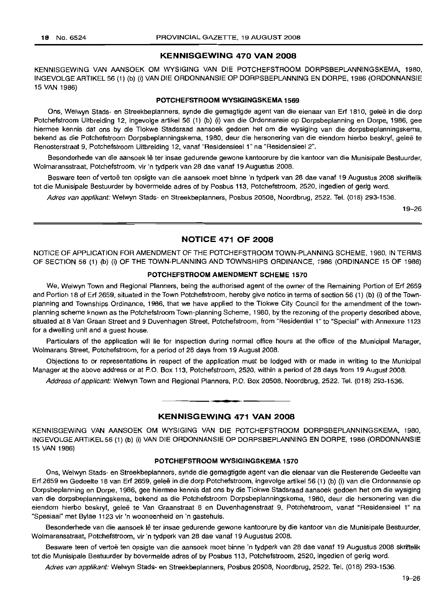## **KENNISGEWING 470 VAN 2008**

KENNISGEWING VAN AANSOEK OM WYSIGING VAN DIE POTCHEFSTROOM DORPSBEPLANNINGSKEMA, 1980, INGEVOLGE ARTIKEL 56 (1) (b) (i) VAN DIE ORDONNANSIE OP DORPSBEPLANNING EN DORPE, 1986 (ORDONNANSIE 15 VAN 1986)

## **POTCHEFSTROOM WYSIGINGSKEMA 1569**

Ons, Welwyn Stads- en Streekbeplanners, synde die gemagtigde agent van die eienaar van Erf 1810, gelee in die dorp Potchefstroom Uitbreiding 12, ingevolge artikel 56 (1) (b) (i) van die Ordonnansie op Dorpsbeplanning en Dorpe, 1986, gee hiermee kennis dat ons by die Tlokwe Stadsraad aansoek gedoen het om die wysiging van die dorpsbeplanningskema, bekend as die Potchefstroom Dorpsbeplanningskema, 1980, deur die hersonering van die eiendom hierbo beskryf, geleë te Renosterstraat 9, Potchefstroom Uitbreiding 12, vanaf "Residensieel 1" na "Residensieel 2".

Besonderhede van die aansoek Ie ter insae gedurende gewone kantoorure by die kantoor van die Munisipale Bestuurder, Wolmaransstraat, Potchefstroom, vir 'n tydperk van 28 dae vanaf 19 Augustus 2008.

Besware teen of vertoë ten opsigte van die aansoek moet binne 'n tydperk van 28 dae vanaf 19 Augustus 2008 skriftelik tot die Munisipale Bestuurder by bovermelde adres of by Posbus 113, Potchefstroom, 2520, ingedien of gerig word.

Adres van applikant: Welwyn Stads- en Streekbeplanners, Posbus 20508, Noordbrug, 2522. Tel. (018) 293-1536.

19-26

## **NOTICE 471 OF 2008**

NOTICE OF APPLICATION FOR AMENDMENT OF THE POTCHEFSTROOM TOWN-PLANNING SCHEME, 1980, IN TERMS OF SECTION 56 (1) (b) (i) OF THE TOWN-PLANNING AND TOWNSHIPS ORDINANCE, 1986 (ORDINANCE 15 OF 1986)

#### **POTCHEFSTROOM AMENDMENT SCHEME 1570**

We, Welwyn Town and Regional Planners, being the authorised agent of the owner of the Remaining Portion of Erf 2659 and Portion 18 of Erf 2659, situated in the Town Potchefstroom, hereby give notice in terms of section 56 (1) (b) (i) of the Townplanning and Townships Ordinance, 1986, that we have applied to the Tlokwe City Council for the amendment of the townplanning scheme known as the Potchefstroom Town-planning Scheme, 1980, by the rezoning of the property described above, situated at 8 Van Graan Street and 9 Duvenhagen Street, Potchefstroom, from "Residential 1" to "Special" with Annexure 1123 for a dwelling unit and a guest house.

Particulars of the application will lie for inspection during normal office hours at the office of the Municipal Manager, Wolmarans Street, Potchefstroom, for a period of 28 days from 19 August 2008.

Objections to or representations in respect of the application must be lodged with or made in writing to the Municipal Manager at the above address or at P.O. Box 113, Potchefstroom, 2520, within a period of 28 days from 19 August 2008.

Address of applicant: Welwyn Town and Regional Planners, P.O. Box 20508, Noordbrug, 2522. Tel. (018) 293-1536.

# **• KENNISGEWING 471 VAN 2008**

KENNISGEWING VAN AANSOEK OM WYSIGING VAN DIE POTCHEFSTROOM DORPSBEPLANNINGSKEMA, 1980, INGEVOLGEARTIKEL56 (1) (b) (i) VAN DIE ORDONNANSIE OP DORPSBEPLANNING EN DORPE, 1986 (ORDONNANSIE 15 VAN 1986)

## **POTCHEFSTROOM WYSIGINGSKEMA 1570**

Ons, Welwyn Stads- en Streekbeplanners, synde die gemagtigde agent van die eienaar van die Resterende Gedeelte van Erf 2659 en Gedeelte 18 van Erf 2659, gelee in die dorp Potchefstroom, ingevolge artikel 56 (1) (b) (i) van die Ordonnansie op Dorpsbeplanning en Dorpe, 1986, gee hiermee kennis dat ons by die Tlokwe Stadsraad aansoek gedoen het om die wysiging van die dorpsbeplanningskema, bekend as die Potchefstroom Dorpsbeplanningskema, 1980, deur die hersonering van die eiendom hierbo beskryf, gelee te Van Graanstraat 8 en Duvenhagenstraat 9, Potchefstroom, vanaf "Residensieel 1" na "Spesiaal" met Bylae 1123 vir 'n wooneenheid en 'n gastehuis.

Besonderhede van die aansoek Ie ter insae gedurende gewone kantoorure by die kantoor van die Munisipale Bestuurder, Wolmaransstraat, Potchefstroom, vir 'n tydperk van 28 dae vanaf 19 Augustus 2008.

Besware teen of vertoe ten opsigte van die aansoek moet binne 'n tydperk van 28 dae vanaf 19 Augustus 2008 skriftelik tot die Munisipale Bestuurder by bovermelde adres of by Posbus 113, Potchefstroom, 2520, ingedien of gerig word.

Adres van applikant: Welwyn Stads- en Streekbeplanners, Posbus 20508, Noordbrug, 2522. Tel. (018) 293-1536.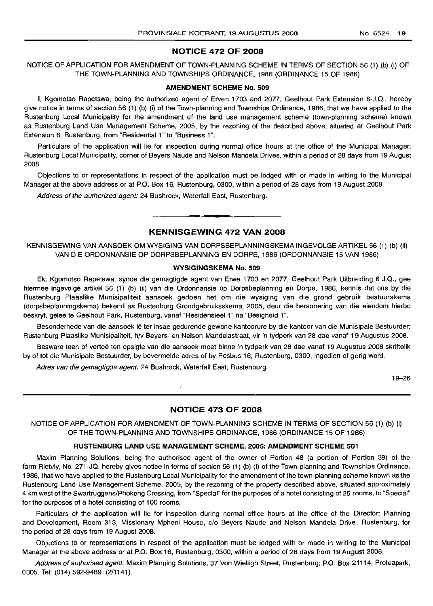## NOTICE 472 OF 2008

## NOTICE OF APPLICATION FOR AMENDMENT OF TOWN-PLANNING SCHEME IN TERMS OF SECTION 56 (1) (b) (i) OF THE TOWN-PLANNING AND TOWNSHIPS ORDINANCE, 1986 (ORDINANCE 15 OF 1986)

#### AMENDMENT SCHEME No. 509

I, Kgomotso Rapetswa, being the authorized agent of Erven 1703 and 2077, Geelhout Park Extension 6-J.Q., hereby give notice in terms of section 56 (1) (b) (i) of the Town-planning and Townships Ordinance, 1986, that we have applied to the Rustenburg Local Municipality for the amendment of the land use management scheme (town-planning scheme) known as Rustenburg Land Use Management Scheme, 2005, by the rezoning of the described above, situated at Geelhout Park Extension 6, Rustenburg, from "Residential 1" to "Business 1".

Particulars of the application will lie for inspection during normal office hours at the office of the Municipal Manager: Rustenburg Local Municipality, corner of Beyers Naude and Nelson Mandela Drives, within a period of 28 days from 19 August 2008.

Objections to or representations in respect of the application must be lodged with or made in writing to the Municipal Manager at the above address or at P.O. Box 16, Rustenburg, 0300, within a period of 28 days from 19 August 2008.

Address of the authorized agent: 24 Bushrock, Waterfall East, Rustenburg.

 $\ddot{\phantom{a}}$ 

## KENNISGEWING 472 VAN 2008

**•**

KENNISGEWING VAN AANSOEK OM WYSIGING VAN DORPSBEPLANNINGSKEMA INGEVOLGE ARTIKEL 56 (1) (b) (ii) VAN DIE ORDONNANSIE OP DORPSBEPLANNING EN DORPE, 1986 (ORDONNANSIE 15 VAN 1986)

#### WYSIGINGSKEMA No. 509

Ek, Kgomotso Rapetswa, synde die gemagtigde agent van Erwe 1703 en 2077, Geelhout Park Uitbreiding 6 J.Q., gee hiermee ingevolge artikel 56 (1) (b) (ii) van die Ordonnansie op Dorpsbeplanning en Dorpe, 1986, kennis dat ons by die Rustenburg Plaaslike Munisipaliteit aansoek gedoen het om die wysiging van die grond gebruik bestuurskema (dorpsbeplanningskerna) bekend as Rustenburg Grondgebruiksskema, 2005, deur die hersonering van die eiendom hierbo beskryf, geleë te Geelhout Park, Rustenburg, vanaf "Residensieel 1" na "Besigheid 1".

Besonderhede van die aansoek Ie ter insae gedurende gewone kantoorure by die kantoor van die Munisipale Bestuurder: Rustenburg Plaaslike Munisipaliteit, h/v Beyers- en Nelson Mandelastraat, vir 'n tydperk van 28 dae vanaf 19 Augustus 2008.

Besware teen of vertoë ten opsigte van die aansoek moet binne 'n tydperk van 28 dae vanaf 19 Augustus 2008 skriftelik by of tot die Munisipale Bestuurder, by bovermelde adres of by Posbus 16, Rustenburg, 0300, ingedien of gerig word.

Adres van die gemagtigde agent: 24 Bushrock, Waterfall East, Rustenburg.

19-26

#### NOTICE 473 OF 2008

NOTICE OF APPLICATION FOR AMENDMENT OF TOWN-PLANNING SCHEME IN TERMS OF SECTION 56 (1) (b) (i) OF THE TOWN-PLANNING AND TOWNSHIPS ORDINANCE, 1986 (ORDINANCE 15 OF 1986)

#### RUSTENBURG LAND USE MANAGEMENT SCHEME, 2005: AMENDMENT SCHEME 501

Maxim Planning Solutions, being the authorised agent of the owner of Portion 48 (a portion of Portion 39) of the farm Rietvly, No. 271-JQ, hereby gives notice in terms of section 56 (1) (b) (i) of the Town-planning and Townships Ordinance, 1986, that we have applied to the Rustenburg Local Municipality for the amendment of the town-planning scheme known as the Rustenburg Land Use Management Scheme, 2005, by the rezoning of the property described above, situated approximately 4 km west of the Swartruggens/Phokeng Crossing, from "Special" for the purposes of a hotel consisting of 25 rooms, to "Special" for the purposes of a hotel consisting of 100 rooms.

Particulars of the application will lie for inspection during normal office hours at the office of the Director: Planning and Development, Room 313, Missionary Mpheni House, c/o Beyers Naude and Nelson Mandela Drive, Rustenburg, for the period of 28 days from 19 August 2008.

Objections to or representations in respect of the application must be lodged with or made in writing to the Municipal Manager at the above address or at P.O. Box 16, Rustenburg, 0300, within a period of 28 days from 19 August 2008.

Address of authorised agent: Maxim Planning Solutions, 37 Von Wielligh Street, Rustenburg; P.O. Box 21114, Proteapark, 0305. Tel: (014) 592-9489. (2/1141).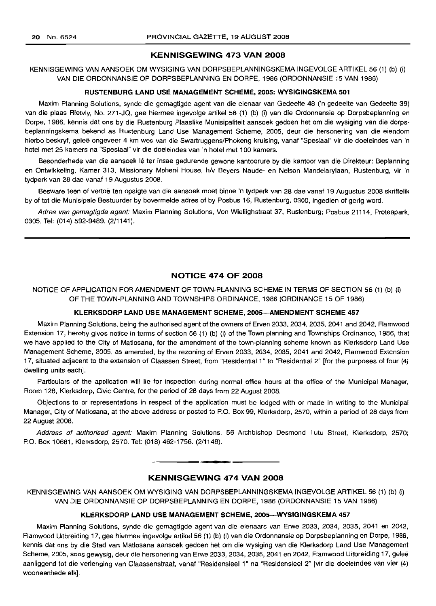#### KENNISGEWING 473 VAN 2008

KENNISGEWING VAN AANSOEK OM WYSIGING VAN DORPSBEPLANNINGSKEMA INGEVOLGE ARTIKEL 56 (1) (b) (i) VAN DIE ORDONNANSIE OP DORPSBEPLANNING EN DORPE, 1986 (ORDONNANSIE 15 VAN 1986)

#### RUSTENBURG LAND USE MANAGEMENT SCHEME, 2005: WYSIGINGSKEMA 501

Maxim Planning Solutions, synde die gemagtigde agent van die eienaar van Gedeelte 48 ('n gedeelte van Gedeelte 39) van die plaas Rietvly, No. 271-JQ, gee hiermee ingevolge artikel 56 (1) (b) (i) van die Ordonnansie op Dorpsbeplanning en Dorpe, 1986, kennis dat ons by die Rustenburg Plaaslike Munisipaliteit aansoek gedoen het om die wysiging van die dorpsbeplanningskema bekend as Rustenburg Land Use Management Scheme, 2005, deur die hersonering van die eiendom hierbo beskryf, geleë ongeveer 4 km wes van die Swartruggens/Phokeng kruising, vanaf "Spesiaal" vir die doeleindes van 'n hotel met 25 kamers na "Spesiaal" vir die doeleindes van 'n hotel met 100 kamers.

Besonderhede van die aansoek lê ter insae gedurende gewone kantoorure by die kantoor van die Direkteur: Beplanning en Ontwikkeling, Kamer 313, Missionary Mpheni House, h/v Beyers Naude- en Nelson Mandelarylaan, Rustenburg, vir 'n tydperk van 28 dae vanaf 19 Augustus 2008.

Besware teen of vertoe ten opsigte van die aansoek moet binne 'n tydperk van 28 dae vanaf 19 Augustus 2008 skriftelik by of tot die Munisipale Bestuurder by bovermelde adres of by Posbus 16, Rustenburg, 0300, ingedien of gerig word.

Adres van gemagtigde agent: Maxim Planning Solutions, Von Wiellighstraat 37, Rustenburg; Posbus 21114, Proteapark, 0305. Tel: (014) 592-9489. (2/1141).

#### NOTICE 474 OF 2008

NOTICE OF APPLICATION FOR AMENDMENT OF TOWN-PLANNING SCHEME IN TERMS OF SECTION 56 (1) (b) (i) OF THE TOWN-PLANNING AND TOWNSHIPS ORDINANCE, 1986 (ORDINANCE 15 OF 1986)

#### KLERKSDORP LAND USE MANAGEMENT SCHEME, 200S-AMENDMENT SCHEME 457

Maxim Planning Solutions, being the authorised agent of the owners of Erven 2033, 2034, 2035, 2041 and 2042, Flamwood Extension 17, hereby gives notice in terms of section 56 (1) (b) (i) of the Town-planning and Townships Ordinance, 1986, that we have applied to the City of Matlosana, for the amendment of the town-planning scheme known as Klerksdorp Land Use Management Scheme, 2005, as amended, by the rezoning of Erven 2033, 2034, 2035, 2041 and 2042, Flamwood Extension 17, situated adjacent to the extension of Claassen Street, from "Residential 1" to "Residential 2" [for the purposes of four (4) dwelling units each].

Particulars of the application will lie for inspection during normal office hours at the office of the Municipal Manager, Room 128, Klerksdorp, Civic Centre, for the period of 28 days from 22 August 2008.

Objections to or representations in respect of the application must be lodqed with or made in writing to the Municipal Manager, City of Matlosana, at the above address or posted to P.O. Box 99, Klerksdorp, 2570, within a period of 28 days from 22 August 2008.

Address of authorised agent: Maxim Planning Solutions, 56 Archbishop Desmond Tutu Street, Klerksdorp, 2570; P.O. Box 10681, Klerksdorp, 2570. Tel: (018) 462-1756. (2/1148).

## KENNISGEWING 474 VAN 2008

**• •**

KENNISGEWING VAN AANSOEK OM WYSIGING VAN DORPSBEPLANNINGSKEMA INGEVOLGE ARTIKEL 56 (1) (b) (i) VAN DIE ORDONNANSIE OP DORPSBEPLANNING EN DORPE, 1986 (ORDONNANSIE 15 VAN 1986)

#### KLERKSDORP LAND USE MANAGEMENT SCHEME, 200S-WYSIGINGSKEMA 457

Maxim Planning Solutions, synde die gemagtigde agent van die eienaars van Erwe 2033, 2034, 2035, 2041 en 2042, Flamwood Uitbreiding 17, gee hiermee ingevolge artikel 56 (1) (b) (i) van die Ordonnansie op Dorpsbeplanning en Dorpe, 1986, kennis dat ons by die Stad van Matlosana aansoek gedoen het om die wysiging van die Klerksdorp Land Use Management Scheme, 2005, soos gewysig, deur die hersonering van Erwe 2033, 2034, 2035, 2041 en 2042, Flamwood Uitbreiding 17, gelee aanliggend tot die verlenging van Claassenstraat, vanaf "Residensieel 1" na "Residensieel 2" [vir die doeleindes van vier (4) wooneenhede elk].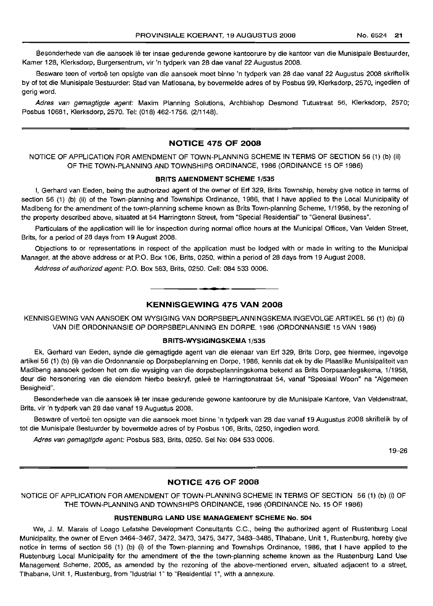Besonderhede van die aansoek lê ter insae gedurende gewone kantoorure by die kantoor van die Munisipale Bestuurder, Kamer 128, Klerksdorp, Burgersentrum, vir 'n tydperk van 28 dae vanaf 22 Augustus 2008.

Besware teen of vertoë ten opsigte van die aansoek moet binne 'n tydperk van 28 dae vanaf 22 Augustus 2008 skriftelik by of tot die Munisipale Bestuurder: Stad van Matlosana, by bovermelde adres of by Posbus 99, Klerksdorp, 2570, ingedien of gerig word.

Adres van gemagtigde agent: Maxim Planning Solutions, Archbishop Desmond Tutustraat 56, Klerksdorp, 2570; Posbus 10681, Klerksdorp, 2570. Tel: (018) 462-1756. (2/1148).

## NOTICE 475 OF 2008

NOTICE OF APPLICATION FOR AMENDMENT OF TOWN-PLANNING SCHEME IN TERMS OF SECTION 56 (1) (b) (ii) OF THE TOWN-PLANNING AND TOWNSHIPS ORDINANCE, 1986 (ORDINANCE 15 OF 1986)

#### BRITS AMENDMENT SCHEME 1/535

I, Gerhard van Eeden, being the authorized agent of the owner of Erf 329, Brits Township, hereby give notice in terms of section 56 (1) (b) (ii) of the Town-planning and Townships Ordinance, 1986, that I have applied to the Local Municipality of Madibeng for the amendment of the town-planning scheme known as Brits Town-planning Scheme, 1/1958, by the rezoning of the property described above, situated at 54 Harringtonn Street, from "Special Residential" to "General Business".

Particulars of the application will lie for inspection during normal office hours at the Municipal Offices, Van Velden Street, Brits, for a period of 28 days from 19 August 2008.

Objections to or representations in respect of the application must be lodged with or made in writing to the Municipal Manager, at the above address or at P.O. Box 106, Brits, 0250, within a period of 28 days from 19 August 2008.

Address of authorized agent: P.O. Box 583, Brits, 0250. Cell: 084 533 0006.

## KENNISGEWING 475 VAN 2008

.**- .**

KENNISGEWING VAN AANSOEK OM WYSIGING VAN DORPSBEPLANNIINGSKEMA INGEVOLGE ARTIKEL 56 (1) (b) (ii) VAN DIE OHDONNANSIE OP DORPSBEPLANNING EN DORPE, 1986 (ORDONNANSIE 15 VAN 1986)

#### BRITS-WYSIGINGSKEMA 1/535

Ek, Gerhard van Eeden, synde die gemagtigde agent van die eienaar van Erf 329, Brits Dorp, gee hiermee, ingevolge artikel 56 (1) (b) (ii) van die Ordonnansie op Dorpsbeplanning en Dorpe, 1986, kennis dat ek by die Plaaslike Munisipaliteit van Madibeng aansoek gedoen het om die wysiging van die dorpsbeplanningskema bekend as Brits Dorpsaanlegskema, 1/1958, deur die hersonering van die eiendom hierbo beskryf, gelee te Harringtonstraat 54, vanaf "Spesiaal Woon" na "Algemeen Besigheid".

Besonderhede van die aansoek lê ter insae gedurende gewone kantoorure by die Munisipale Kantore, Van Veldenstraat, Brits, vir 'n tydperk van 28 dae vanaf 19 Augustus 2008.

Besware of vertoë ten opsigte van die aansoek moet binne 'n tydperk van 28 dae vanaf 19 Augustus 2008 skriftelik by of tot die Munisipale Bestuurder by bovermelde adres of by Posbus 106, Brits, 0250, ingedien word.

Adres van gemagtigde agent: Posbus 583, Brits, 0250. Sel No: 084 533 0006.

19-26

#### NOTICE 476 OF 2008

NOTICE OF APPLICATION FOR AMENDMENT OF TOWN-PLANNING SCHEME IN TERMS OF SECTION 56 (1) (b) (i) OF THE TOWN-PLANNING AND TOWNSHIPS ORDINANCE, 1986 (ORDINANCE No. 15 OF 1986)

## RUSTENBURG LAND USE MANAGEMENT SCHEME No. 504

We, J. M. Marais of Loago Lefatshe Development Consultants C.C., being the authorized agent of Rustenburg Local Municipality, the owner of Erven 3464-3467, 3472, 3473, 3475, 3477, 3483-3485, Tlhabane, Unit 1, Rustenburg, hereby give notice in terms of section 56 (1) (b) (i) of the Town-planning and Townships Ordinance, 1986, that I have applied to the Rustenburg Local Municipality for the amendment of the the town-planning scheme known as the Rustenburg Land Use Management Scheme, 2005, as amended by the rezoning of the above-mentioned erven, situated adjacent to a street, Tlhabane, Unit 1, Rustenburg, from "Idustrial 1" to "Residential 1", with a annexure.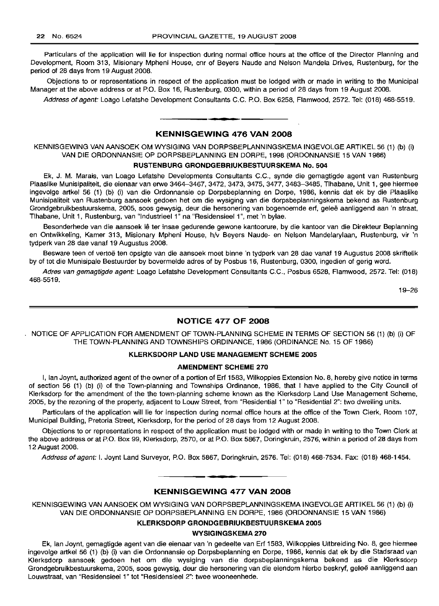Particulars of the application will lie for inspection during normal office hours at the office of the Director Planning and Development, Room 313, Misionary Mpheni House, cnr of Beyers Naude and Nelson Mandela Drives, Rustenburg, for the period of 28 days from 19 August 2008.

Objections to or representations in respect of the application must be lodged with or made in writing to the Municipal Manager at the above address or at P.O. Box 16, Rustenburg, 0300, within a period of 28 days from 19 August 2008.

Address of agent: Loago Lefatshe Development Consultants C.C. P.O. Box 6258, Flamwood, 2572. Tel: (018) 468-5519.

## **KENNISGEWING 476 VAN 2008**

• **\_ E**

KENNISGEWING VAN AANSOEK OM WYSIGING VAN DORPSBEPLANNINGSKEMA INGEVOLGE ARTIKEL 56 (1) (b) (i) VAN DIE ORDONNANSIE OP DORPSBEPLANNING EN DORPE, 1998 (ORDONNANSIE 15 VAN 1986)

## **RUSTENBURG GRONDGEBRIUKBESTUURSKEMA No. 504**

Ek, J. M. Marais, van Loago Lefatshe Developments Consultants C.C., synde die gemagtigde agent van Rustenburg Plaaslike Munisipaliteit, die eienaar van erwe 3464-3467, 3472, 3473, 3475, 3477, 3483-3485, Tlhabane, Unit 1, gee hiermee ingevolge artkel 56 (1) (b) (i) van die Ordonnansie op Dorpsbeplanning en Darpe, 1986, kennis dat ek by die Plaaslike Munisipaliteit van Rustenburg aansoek gedoen het om die wysiging van die dorpsbeplanningskema bekend as Rustenburg Grondgebruikbestuurskema, 2005, soos gewysig, deur die hersonering van bogenoemde ert, gelee aanliggend aan 'n straat, Tlhabane, Unit 1, Rustenburg, van "Industrieel 1" na "Residensieel 1", met 'n bylae.

Besonderhede van die aansoek lê ter insae gedurende gewone kantoorure, by die kantoor van die Direkteur Beplanning en Ontwikkeling, Kamer 313, Misionary Mpheni House, h/v Beyers Naude- en Nelson Mandelarylaan, Rustenburg, vir 'n tydperk van 28 dae vanaf 19 Augustus 2008.

Besware teen of vertoe ten opsigte van die aansoek moet binne 'n tydperk van 28 dae vanaf 19 Augustus 2008 skriftelik by of tot die Munisipale Bestuurder by bovermelde adres of by Posbus 16, Rustenburg, 0300, ingedien of gerig word.

Adres van gemagtigde agent: Loago Lefatshe Development Consultants C.C., Posbus 6528, Flamwood, 2572. Tel: (018) 468-5519.

19-26

#### **NOTICE 477 OF 2008**

NOTICE OF APPLICATION FOR AMENDMENT OF TOWN-PLANNING SCHEME IN TERMS OF SECTION 56 (1) (b) (i) OF THE TOWN-PLANNING AND TOWNSHIPS ORDINANCE, 1986 (ORDINANCE No. 15 OF 1986)

## **KLERKSDORP LAND USE MANAGEMENT SCHEME 2005**

#### **AMENDMENT SCHEME 270**

I, Ian Joynt, authorized agent of the owner of a portion of Ert 1583, Wilkoppies Extension No.8, hereby give notice in terms of section 56 (1) (b) (i) of the Town-planning and Townships Ordinance, 1986, that I have applied to the City Council of Klerksdorp for the amendment of the the town-planning scheme known as the Klerksdorp Land Use Management Scheme, 2005, by the rezoning of the property, adjacent to Louw Street, from "Residential 1" to "Residential 2": two dwelling units.

Particulars of the application will lie for inspection during normal office hours at the office of the Town Clerk, Room 107, Municipal Building, Pretoria Street, Klerksdorp, for the period of 28 days from 12 August 2008.

Objections to or representations in respect of the application must be lodged with or made in writing to the Town Clerk at the above address or at P.O. Box 99, Klerksdorp, 2570, or at P.O. Box 5867, Doringkruin, 2576, within a period of 28 days from 12 August 2008.

Address of agent: I. Joynt Land Surveyor, P.O. Box 5867, Doringkruin, 2576. Tel: (018) 468-7534. Fax: (018) 468-1454.

## I **• I KENNISGEWING 477 VAN 2008**

KENNISGEWING VAN AANSOEK OM WYSIGING VAN DORPSBEPLANNINGSKEMA INGEVOLGE ARTIKEL 56 (1) (b) (I) VAN DIE ORDONNANSIE OP DORPSBEPLANNING EN DORPE, 1986 (ORDONNANSIE 15 VAN 1986)

## **KLERKSDORP GRONDGEBRIUKBESTULIRSKEMA 2005**

#### **WYSIGINGSKEMA 270**

Ek, Ian Joynt, gemagtigde agent van die eienaar van 'n gedeelte van Erf 1583, Wilkoppies Uitbreiding No. 8, gee hiermee ingevolge artkel 56 (1) (b) (I) van die Ordonnansie op Darpsbeplanning en Dorpe, 1986, kennis dat ek by die Stadsraad van Klerksdorp aansoek gedoen het om die wysiging van die dorpsbeplanningskema bekend as die Klerksdorp Grondgebruikbestuurskema, 2005, soos gewysig, deur die hersonering van die eiendom hierbo beskryf, geleë aanliggend aan Louwstraat, van "Residensieel 1" tot "Residensieel 2": twee wooneenhede.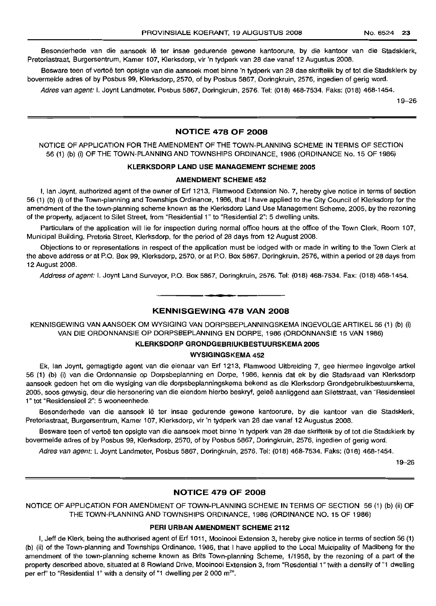Besonderhede van die aansoek Iê ter insae gedurende gewone kantoorure, by die kantoor van die Stadsklerk, Pretoriastraat, Burgersentrum, Kamer 107, Klerksdorp, vir 'n tydperk van 28 dae vanaf 12 Augustus 2008.

Besware teen of vertoë ten opsigte van die aansoek moet binne 'n tydperk van 28 dae skriftelik by of tot die Stadsklerk by bovermelde adres ot by Posbus 99, Klerksdorp, 2570, of by Posbus 5867, Doringkruin, 2576, ingedien of gerig word.

Adres van agent: I. Joynt Landmeter, Posbus 5867, Doringkruin, 2576. Tel: (018) 468-7534. Faks: (018) 468-1454.

19-26

## NOTICE 478 OF 2008

NOTICE OF APPLICATION FOR THE AMENDMENT OF THE TOWN-PLANNING SCHEME IN TERMS OF SECTION 56 (1) (b) (i) OF THE TOWN-PLANNING AND TOWNSHIPS ORDINANCE, 1986 (ORDINANCE No. 15 OF 1986)

## KLERKSDORP LAND USE MANAGEMENT SCHEME 2005

## AMENDMENT SCHEME 452

I, Ian Joynt, authorized agent of the owner of Erf 1213, Flamwood Extension No.7, hereby give notice in terms of section 56 (1) (b) (i) of the Town-planning and Townships Ordinance, 1986, that I have applied to the City Council of Klerksdorp for the amendment of the the town-planning scheme known as the Klerksdorp Land Use Management Scheme, 2005, by the rezoning of the property, adjacent to Silet Street, from "Residential 1" to "Residential 2": 5 dwelling units.

Particulars of the application will lie for inspection during normal office hours at the office of the Town Clerk, Room 107, Municipal Building, Pretoria Street, Klerksdorp, for the period of 28 days from 12 August 2008.

Objections to or representations in respect of the application must be lodged with or made in writing to the Town Clerk at the above address or at P.O. Box 99, Klerksdorp, 2570, or at P.O. Box 5867, Doringkruin, 2576, within a period of 28 days from 12 August 2008.

Address of agent: I. Joynt Land Surveyor, P.O. Box 5867, Doringkruin, 2576. Tel: (018) 468-7534. Fax: (018) 468-1454.

**• I**

## KENNISGEWING 478 VAN 2008

KENNrSGEWING VAN AANSOEK OM WYSIGING VAN DORPSBEPLANNINGSKEMA INGEVOLGE ARTIKEL 56 (1) (b) (i) VAN DIE ORDONNANSIE OP DORPSBEPLANNING EN DORPE, 1986 (ORDONNANSIE 15 VAN 1986)

## KLERKSDORP GRONDGEBRIUKBESTUURSKEMA 2005

## WYSIGINGSKEMA 452

Ek, Ian Joynt, gemagtigde agent van die eienaar van Erf 1213, Flamwood Uitbreiding 7, gee hiermee ingevolge artkel 56 (1) (b) (i) van die Ordonnansie op Dorpsbeplanning en Dorpe, 1986, kennis dat ek by die Stadsraad van Klerksdorp aansoek gedoen het om die wysiging van die dorpsbeplanningskema bekend as die Klerksdorp Grondgebruikbestuurskema, 2005, soos gewysig, deur die hersonering van die eiendom hierbo beskryf, geleë aanliggend aan Siletstraat, van "Residensieel 1" tot "Residensieel z": 5 wooneenhede.

Besonderhede van die aansoek lê ter insae gedurende gewone kantoorure, by die kantoor van die Stadsklerk, Pretoriastraat, Burgersentrum, Kamer 107, Klerksdorp, vir 'n tydperk van 28 dae vanaf 12 Augustus 2008.

Besware teen of vertoë ten opsigte van die aansoek moet binne 'n tydperk van 28 dae skriftelik by of tot die Stadsklerk by bovermelde adres of by Posbus 99, Klerksdorp, 2570, of by Posbus 5867, Doringkruin, 2576, ingedien of gerig word.

Adres van agent: I. Joynt Landmeter, Posbus 5867, Doringkruin, 2576. Tel: (018) 468-7534. Faks: (018) 468-1454.

19-26

## NOTICE 479 OF 2008

NOTICE OF APPLICATION FOR AMENDMENT OF TOWN-PLANNING SCHEME IN TERMS OF SECTION 56 (1) (b) (ii) OF THE TOWN-PLANNING AND TOWNSHIPS ORDINANCE, 1986 (ORDINANCE NO. 15 OF 1986)

#### PERI URBAN AMENDMENT SCHEME 2112

I, Jeff de Klerk, being the authorised agent of Erf 1011, Mooinooi Extension 3, hereby give notice in terms of section 56 (1) (b) (ii) of the Town-planning and Townships Ordinance, 1986, that I have applied to the Local Muicipality of Madibeng for the amendment of the town-planning scheme known as Brits Town-planning Scheme, 1/1958, by the rezoning of a part of the property described above, situated at 8 Rowland Drive, Mooinooi Extension 3, from "Resdential 1" twith a density of "1 dwelling per erf" to "Residential 1" with a density of "1 dwelling per 2 000 m<sup>2"</sup>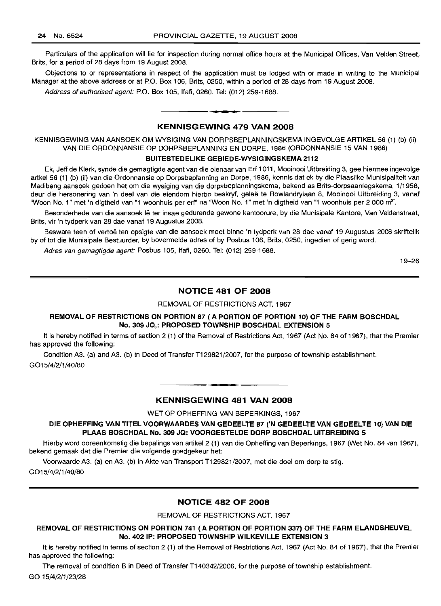Particulars of the application will lie for inspection during normal office hours at the Municipal Offices, Van Velden Street, Brits, for a period of 28 days from 19 August 2008.

Objections to or representations in respect of the application must be lodged with or made in writing to the Municipal Manager at the above address or at P.O. Box 106, Brits, 0250, within a period of 28 days from 19 August 2008.

Address of authorised agent: P.O. Box 105, Ifafi, 0260. Tel: (012) 259-1688 .

## KENNISGEWING 479 VAN 2008

**•**

KENNISGEWING VAN AANSOEK OM WYSIGING VAN DORPSBEPLANNINGSKEMA INGEVOLGE ARTIKEL 56 (1) (b) (ii) VAN DIE ORDONNANSIE OP DORPSBEPLANNING EN DORPE, 1986 (ORDONNANSIE 15 VAN 1986)

## BUITESTEDELIKE GEBIEDE-WYSIGINGSKEMA 2112

Ek, Jeff de Klerk, synde die gemagtigde agent van die eienaar van Erf 1011, Mooinooi Uitbreiding 3, gee hiermee ingevolge artkel 56 (1) (b) (ii) van die Ordonnansie op Dorpsbeplanning en Dorpe, 1986, kennis dat ek by die Plaaslike Munisipaliteit van Madibeng aansoek gedoen het om die wysiging van die dorpsbeplanningskema, bekend as Brits-dorpsaanlegskema, 1/1958, deur die hersonering van 'n deel van die eiendom hierbo beskryf, geleë te Rowlandrylaan 8, Mooinooi Uitbreiding 3, vanaf "Woon No. 1" met 'n digtheid van "1 woonhuis per erf' na "Woon No. 1" met 'n digtheid van "1 woonhuis per 2 000 m<sup>2"</sup>.

Besonderhede van die aansoek lê ter insae gedurende gewone kantoorure, by die Munisipale Kantore, Van Veldenstraat, Brits, vir 'n tydperk van 28 dae vanaf 19 Augustus 2008.

Besware teen of vertoe ten opsigte van die aansoek moet binne 'n tydperk van 28 dae vanaf 19 Augustus 2008 skriftelik by of tot die Munisipale Bestuurder, by bovermelde adres of by Posbus 106, Brits, 0250, ingedien of gerig word.

Adres van gemagtigde agent: Posbus 105, Ifafi, 0260. Tel: (012) 259-1688.

19-26

## NOTICE 481 OF 2008

REMOVAL OF RESTRICTIONS ACT, 1967

## REMOVAL OF RESTRICTIONS ON PORTION 87 ( A PORTION OF PORTION 10) OF THE FARM BOSCHDAL No. 309 JQ,: PROPOSED TOWNSHIP BOSCHDAL EXTENSION 5

It is hereby notified in terms of section 2 (1) of the Removal of Restrictions Act, 1967 (Act No. 84 of 1967), that the Premier has approved the following:

Condition A3. (a) and A3. (b) in Deed of Transfer T129821/2007, for the purpose of township establishment. G015/4/2/1/40/80

# **•** KENNISGEWING 481 VAN 2008

WET OP OPHEFFING VAN BEPERKINGS, 1967

## DIE OPHEFFING VAN TITEL VOORWAARDES VAN GEDEELTE 87 ('N GEDEELTE VAN GEDEELTE 10) VAN DIE PLAAS BOSCHDAL No. 309 JQ: VOORGESTELDE DORP BOSCHDAL UITBREIDING 5

Hierby word ooreenkomstig die bepalings van artikel 2 (1) van die Opheffing van Beperkings, 1967 (Wet No. 84 van 1967), bekend gemaak dat die Premier die volgende goedgekeur het:

Voorwaarde A3. (a) en A3. (b) in Akte van Transport T129821/2007, met die doel om dorp te stig.

G015/4/2/1/40/80

## NOTICE 482 OF 2008

REMOVAL OF RESTRICTIONS ACT, 1967

## REMOVAL OF RESTRICTIONS ON PORTION 741 (A PORTION OF PORTION 337) OF THE FARM ELANDSHEUVEL No, 402 IP: PROPOSED TOWNSHIP WILKEVILLE EXTENSION 3

It is hereby notified in terms of section 2 (1) of the Removal of Restrictions Act, 1967 (Act No. 84 of 1967), that the Premier has approved the following:

The removal of condition B in Deed of Transfer T140342/2006, for the purpose of township establishment.

GO 15/4/2/1/23/28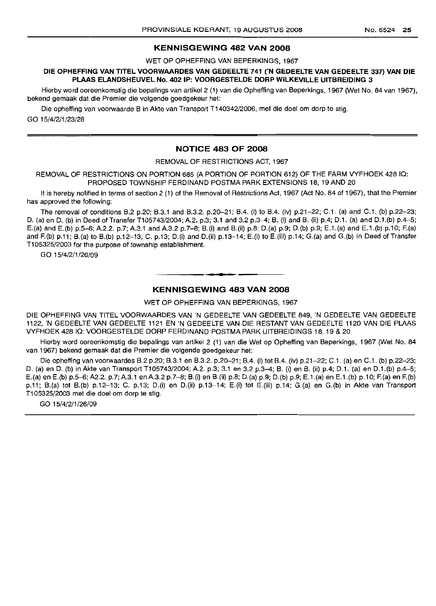## **KENNISGEWING 482 VAN 2008**

WET OP OPHEFFING VAN BEPERKINGS, 1967

## **DIE** OPHEFFI~IG **VAN TITEL VOORWAARDES VAN GEDEELTE** 741 ('N **GEDEELTE VAN GEDEELTE** 337) **VAN DIE PLAAS ELANDSHEUVEL** No. **402** IP: **VOORGESTELDE CORP WILKEVILLE UITBREIDING** 3

Hierby word ooreenkomstig die bepalings van artikel 2 (1) van die Opheffing van Beperkings, 1967 (Wet No. 84 van 1967), bekend gemaak dat die Premier die volgende goedgekeur het:

Die opheffing van voorwaarde B in Akte van Transport T140342/2006, met die doel om dorp te stig.

GO 15/4/2/1/23/28

## **NOTICE 483 OF 2008**

REMOVAL OF RESTRICTIONS ACT, 1967

REMOVAL OF RESTRICTIONS ON PORTION 685 (A PORTION OF PORTION 612) OF THE FARM VYFHOEK 428 10: PROPOSED TOWNSHIP FERDINAND POSTMA PARK EXTENSIONS 18, 19 AND 20

It is hereby notified in terms of section 2 (1) of the Removal of Restrictions Act, 1967 (Act No. 84 of 1967), that the Premier has approved the following:

The removal of conditions B.2 p.20; B.3.1 and B.3.2. p.2Q-21; B.4. (i) to B.4. (iv) p.21-22; C.1. (a) and C.1. (b) p.22-23; D. (a) en D. (b) in Deed of Transfer T105743/2004; A.2. p.3; 3.1 and 3.2 p.3-4; B. (i) and B. (ii) p.4; D.1. (a) and D.1.(b) p.4-5; E.(a) and E.(b) p.5-E5; A.2.2. p.7; A.3.1 and A.3.2 p.7-8; B.(i) and B.(ii) p.8; D.(a) p.9; D.(b) p.9; E.1.(a) and E.1.(b) p.10; F.(a) and F.(b) p.11; B.(a) to B.(b) p.12-13; C. p.13; D.(i) and D.(ii) p.13-14; E.(i) to E.(iii) p.14; G.(a) and G.(b) in Deed ofTransfer T105325/2003 for the purpose of township establishment.

GO 15/4/2/1/26/09

## **KENNISGEWING 483 VAN 2008**

-----\_a o\_\_,--\_

WET OP OPHEFFING VAN BEPERKINGS, 1967

DIE OPHEFFING VAN TITEL VOORWAARDES VAN 'N GEDEELTE VAN GEDEELTE 849, 'N GEDEELTE VAN GEDEELTE 1122, 'N GEDEELTE VAN GEDEELTE 1121 EN 'N GEDEELTE VAN DIE HESTANT VAN GEDEELTE 1120 VAN DIE PLAAS VYFHOEK 428 10; VOORGESTELDE DORP FERDINAND POSTMA PARK UITBREIDINGS 18, 19 & 20

Hierby word ooreenkomstig die bepalings van artikel 2 (1) van die Wet op Opheffing van Beperkings, 1967 (Wet No. 84 van 1967) bekend gemaak dat die Premier die volgende goedgekeur het:

Die opheffing van voorwaardes B.2 p.20; B.3.1 en B.3.2. p.20–21; B.4. (i) tot B.4. (iv) p.21–22; C.1. (a) en C.1. (b) p.22–23; D. (a) en D. (b) in Akte van Transport T105743/2004; A.2. p.3; 3.1 en 3.2 p.3-4; B. (i) en B. (ii) p.4; D.1. (a) en D.1.(b) p.4-5; E.(a) en E.(b) p.5-6; A2.2. p.7; A.3.1 en A.3.2 p.7-8; B.(i) en B.(ii) p.8; D.(a) p.9; D.(b) p.9; E.1.(a) en E.1.(b) p.10; F.(a) en F.(b) p.11; B.(a) tot B.(b) p.12-13; C. p.13; D.(i) en D.(ii) p.13-14; E.(i) tot E.(iii) p.14; G.(a) en G.(b) in Akte van Transport T105325/2003 met die doel om dorp te stig.

GO 15/4/2/1/26/09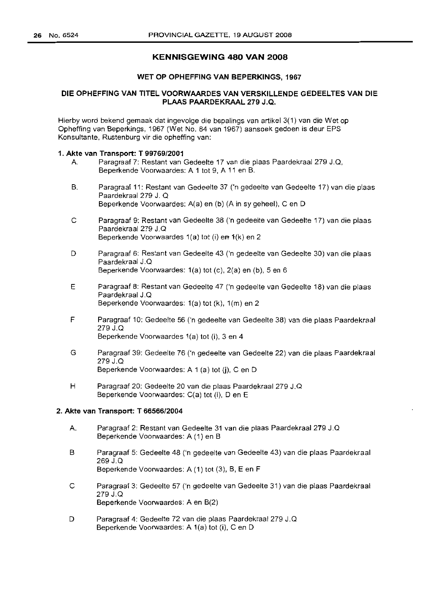## **KENNISGEWING 480 VAN 2008**

#### WET OP OPHEFFING VAN BEPERKINGS, 1967

## DIE OPHEFFING VAN TITEL VOORWAARDES VAN VERSKILLENDE GEDEELTES VAN DIE PLAAS PAARDEKRAAL 279 J.Q.

Hierby word bekend gemaak dat ingevolge die bepalings van artikel 3(1) van die Wet op Opheffing van Beperkings, 1967 (Wet No. 84 van 1967) aansoek gedoen is deur EPS Konsultante, Rustenburg vir die opheffing van:

#### 1. Akte van Transport: T 99769/2001

- A. Paragraaf 7: Restant van Gedeelte 17 van die plaas Paardekraal 279 J.Q, Beperkende Voorwaardes: A 1 tot 9, A 11 en B.
- B. Paragraaf 11: Restant van Gedeelte 37 ('n gedeelte van Gedeelte 17) van die plaas Paardekraal 279 J. Q Beperkende Voorwaardes: A(a) en (b) (A in sy geheel), C en D
- C Paragraaf 9: Restant van Gedeelte 38 *Cn* gedeelte van Gedeelte 17) van die plaas Paardekraal 279 J.Q Beperkende Voorwaardes  $1(a)$  tot (i) en 1(k) en 2
- D Paragraaf 6: Restant van Gedeelte 43 *Cn* gedeelte van Gedeelte 30) van die plaas Paardekraal J.Q Beperkende Voorwaardes: 1(a) tot (c), 2(a) en (b), 5 en 6
- E Paragraaf 8: Restant van Gedeelte 47 ('n gedeelte van Gedeelte 18) van die plaas Paardekraal J.Q Beperkende Voorwaardes: 1(a) tot (k), 1(m) en 2
- F Paragraaf 10: Gedeelte 56 *Cn* gedeelte van Gedeelte 38) van die plaas Paardekraal 279 J.Q Beperkende Voorwaardes 1(a) tot (i), 3 en 4
- G Paragraaf 39: Gedeelte 76 *Cn* gedeelte van Gedeelte 22) van die plaas Paardekraal 279 J.Q Beperkende Voorwaardes: A 1 (a) tot (i), C en D
- H Paragraaf 20: Gedeelte 20 van die plaas Paardekraal 279 J.Q Beperkende Voorwaardes: C(a) tot (i), Den E

## 2. Akte van Transport: T 66566/2004

- A. Paragraaf 2: Restant van Gedeelte 31 van die plaas Paardekraal 279 J.Q Beperkende Voorwaardes: A (1) en B
- B Paragraaf 5: Gedeelte 48 ('n gedeelte van Gedeelte 43) van die plaas Paardekraal 269 J.Q Beperkende Voorwaardes: A (1) tot (3), B, E en F
- C Paragraaf 3: Gedeelte 57 ('n gedeelte van Gedeelte 31) van die plaas Paardekraal 279 J.Q Beperkende Voorwaardes: A en B(2)
- D Paragraaf 4: Gedeelte 72 van die plaas Paardekraal 279 J.Q Beperkende Voorwaardes: A 1(a) tot (i), C en D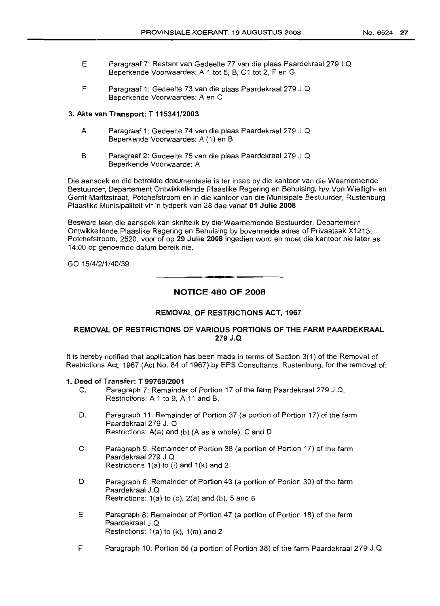- E Paragraaf 7: Restant van Gedeelte 77 van die plaas Paardekraal 279 I.Q Beperkende Voorwaardes: A 1 tot 5, B, C1 tot 2, Fen G
- F Paragraaf 1: Gedeelte 73 van die plaas Paardekraal 279 J.Q Beperkende Voorwaardes: A en C

## 3. Akte van Transport: T 115341/2003

- A Paragraaf 1: Gedeelte 74 van die plaas Paardekraal 279 J.Q Beperkende Voorwaardes: A (1) en B
- B Paragraaf 2: Gedeelte 75 van die plaas Paardekraal 279 J.Q Beperkende Voorwaarde: A

Die aansoek en die betrokke dokurnentasie is ter insae by die kantoor van die Waarnemende Bestuurder, Departement Ontwikkellende Plaaslike Regering en Behuising, h/v Von Wielligh- en Gerrit Maritzstraat, Potchefstroom en in die kantoor van die Munisipale Bestuurder, Rustenburg Plaaslike Munisipaliteit vir 'n tydperk van 28 dae vanaf 01 Julie 2008

Besware teen die aansoek kan skriftelik by die·Waarnemende Bestuurder, Departement Ontwikkellende Plaaslike Regering en Behuising by bovermelde adres of Privaatsak X1213, Potchefstroom, 2520, voor of op 29 Julie 2008 ingedien word en moet die kantoor nie later as 14:00 op genoemde datum bereik nie.

GO 15/4/2/1/40/39

**NOTICE 480 OF 2008**

**• •**

## REMOVAL OF RESTRICTIONS ACT, 1967

## REMOVAL OF RESTRICTIONS OF VARIOUS PORTIONS OF THE FARM PAARDEKRAAL 279 J.Q

It is hereby notified that application has been made in terms of Section 3(1) of the Removal of Restrictions Act, 1967 (Act No. 84 of 1967) by EPS Consultants, Rustenburg, for the removal of:

#### 1. Deed of Transfer: T 99769/2001

- C. Paragraph 7: Remainder of Portion 17 of the farm Paardekraal 279 J.Q, Restrictions: A 1 to 9, A 11 and B.
- D. Paragraph 11: Remainder of Portion 37 (a portion of Portion 17) of the farm Paardekraal 279 J. Q Restrictions: A(a) and (b) (A as a whole), C and D
- C Paragraph 9: Remainder of Portion 38 (a portion of Portion 17) of the farm Paardekraal 279 J.Q Restrictions 1(a) to (i) and 1(k) and 2
- D Paragraph 6: Remainder of Portion 43 (a portion of Portion 30) of the farm Paardekraal J.Q Restrictions: 1(a) to (c), 2(a) and (b), 5 and 6
- E Paragraph 8: Remainder of Portion 47 (a portion of Portion 18) of the farm Paardekraal J.Q Restrictions: 1(a) to (k), 1(m) and 2
- F Paragraph 10: Portion 56 (a portion of Portion 38) of the farm Paardekraal 279 J.Q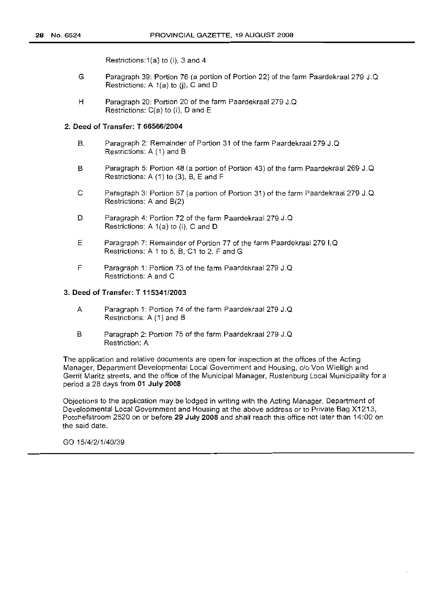Restrictions: 1(a) to (i), 3 and 4

- G Paragraph 39: Portion 76 (a portion of Portion 22) of the farm Paardekraal 279 J.Q Restrictions: A  $1(a)$  to (i), C and D
- H Paragraph 20: Portion 20 of the farm Paardekraal 279 J.Q Restrictions: C(a) to (i), D and E

#### 2. Deed of Transfer: T *66566/2004*

- B. Paragraph 2: Remainder of Portion 31 of the farm Paardekraal 279 J.Q Restrictions: A (1) and B
- B Paragraph 5: Portion 48 (a portion of Portion 43) of the farm Paardekraal 269 J.Q Restrictions: A (1) to (3), B, E and F
- C Paragraph 3: Portion 57 (a portion of Portion 31) of the farm Paardekraal 279 J. Q Restrictions: A and B(2)
- D Paragraph 4: Portion 72 of the farm Paardekraal 279 J.Q Restrictions: A 1(a) to (i), C and D
- E Paragraph 7: Remainder of Portion 77 of the farm Paardekraal 279 I.Q Restrictions: A 1 to 5, B, C1 to 2, F and G
- F Paragraph 1: Portion 73 of the farm Paardekraal 279 J.Q Restrictions: A and C

## 3. Deed of Transfer: T *115341/2003*

- A Paragraph 1: Portion 74 of the farm Paardekraal 279 J.Q Restrictions: A (1) and B
- B Paragraph 2: Portion 75 of the farm Paardekraal 279 J.Q Restriction: A

The application and relative documents are open for inspection at the offices of the Acting Manager, Department Developmental Local Government and Housing, c/o Von Wielligh and Gerrit Maritz streets, and the office of the Municipal Manager, Rustenburg Local Municipality for a period a 28 days from 01 July 2008

Objections to the application may be lodged in writing with the Acting Manager, Department of Developmental Local Government and Housing at the above address or to Private Bag X1213, Potchefstroom 2520 on or before 29 July 2008 and shall reach this office not later than 14:00 on the said date.

GO 15/4/2/1/40/39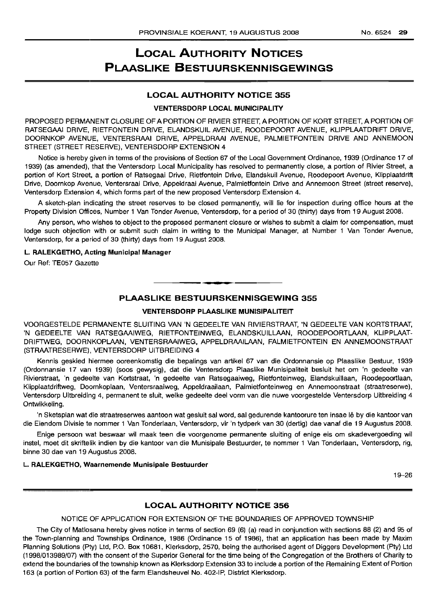# LOCAL AUTHORITY NOTICES PLAASLIKE BESTUURSKENNISGEWINGS

## LOCAL AUTHORITY NOTICE 355

## VENTERSDORP LOCAL MUNICIPALITY

PROPOSED PERMANENT CLOSURE OF A PORTION OF RIVIER STREET, A PORTION OF KORT STREET, A PORTION OF RATSEGAAI DRIVE, RIETFONTEIN DRIVE, ELANDSKUIL AVENUE, ROODEPOORT AVENUE, KLiPPLAATDRIFT DRIVE, DOORNKOP AVENUE, VENTERSRAAI DRIVE, APPELDRAAI AVENUE, PALMIETFONTEIN DRIVE AND ANNEMOON STREET (STREET RESERVE), VENTERSDORP EXTENSION 4

Notice is hereby given in terms of the provisions of Section 67 of the Local Government Ordinance, 1939 (Ordinance 17 of 1939) (as amended), that the Ventersdorp Local Municipality has resolved to permanently close, a portion of Rivier Street, a portion of Kort Street, a portion of Ratsegaai Drive, Rietfontein Drive, Elandskuil Avenue, Roodepoort Avenue, Klipplaatdrift Drive, Doornkop Avenue, Ventersraai Drive, Appeldraai Avenue, Palmietfontein Drive and Annemoon Street (street reserve), Ventersdorp Extension 4, which forms part of the new proposed Ventersdorp Extension 4.

A sketch-plan indicating the street reserves to be closed permanently, will lie for inspection during office hours at the Property Division Offices, Number 1 Van Tonder Avenue, Ventersdorp, for a period of 30 (thirty) days from 19 August 2008.

Any person, who wishes to object to the proposed permanent closure or wishes to submit a claim for compensation, must lodge such objection with or submit such claim in writing to the Municipal Manager, at Number 1 Van Tonder Avenue, Ventersdorp, for a period of 30 (thirty) days from 19 August 2008.

## L. RALEKGETHO, Acting Municipal Manager

Our Ref: TE057 Gazette

# **- .**

## PLAASLIKE BESTUURSKENNISGEWING 355

## VENTERSDORP PLAASLIKE MUNISIPALITEIT

VOORGESTELDE PERMANENTE SLUITING VAN 'N GEDEELTE VAN RIVIERSTRAAT, 'N GEDEELTE VAN KORTSTRAAT, 'N GEDEELTE VAN RATSEGAAIWEG, RIETFONTEINWEG, ELANDSKUILLAAN, ROODEPOORTLAAN, KLiPPLAAT-DRIFTWEG, DOORNKOPLAAN, VENTERSRAAIWEG, APPELDRAAILAAN, FALMIETFONTEIN EN ANNEMOONSTRAAT (STRAATRESERWE), VENTERSDORP UITBREIDING 4

Kennis geskied hiermee ooreenkomstig die bepalings van artikel 67 van die Ordonnansie op Plaaslike Bestuur, 1939 (Ordonnansie 17 van 1939) (soos gewysig), dat die Ventersdorp Plaaslike Munisipaliteit besluit het om 'n gedeelte van Rivierstraat, 'n gedeelte van Kortstraat, 'n gedeelte van Ratsegaaiweg, Rietfonteinweg, Elandskuillaan, Roodepoortlaan, Klipplaatdriftweg, Doomkoplaan, Ventersraaiweg, Appeldraailaan, Palmietfonteinweg en Annemoonstraat (straatreserwe), Ventersdorp Uitbreiding 4, permanent te sluit, welke gedeelte deel vorm van die nuwe voorgestelde Ventersdorp Uitbreiding 4 Ontwikkeling.

'n Sketsplan wat die straatreserwes aantoon wat gesluit sal word, sal gedurende kantoorure ten insae Ie by die kantoor van die Eiendom Divisie te nommer 1 Van Tonderlaan, Ventersdorp, vir 'n tydperk van 30 (dertig) dae vanaf die 19 Augustus 2008.

Enige persoon wat beswaar wil maak teen die voorgenome permanente sluiting of enige eis om skadevergoeding wil instel, moet dit skriftelik indien by die kantoor van die Munisipale Bestuurder, te nommer 1 Van Tonderlaan, Ventersdorp, rig, binne 30 dae van 19 Augustus 2008.

## L. RALEKGETHO, Waarnemende Munisipale Bestuurder

19-26

## LOCAL AUTHORITY NOTICE 356

## NOTICE OF APPLICATION FOR EXTENSION OF THE BOUNDARIES OF APPROVED TOWNSHIP

The City of Matlosana hereby gives notice in terms of section 69 (6) (a) read in conjunction with sections 88 (2) and 95 of the Town-planning and Townships Ordinance, 1986 (Ordinance 15 of 1986), that an application has been made by Maxim Planning Solutions (Pty) Ltd, P.O. Box 10681, Klerksdorp, 2570, being the authorised agent of Diggers Development (Pty) Ltd (1998/013989/07) with the consent of the Superior General for the time being of the Congregation of the Brothers of Charity to extend the boundaries of the township known as Klerksdorp Extension 33 to include a portion of the Remaining Extent of Portion 163 (a portion of Portion 63) of the farm Elandsheuvel No. 402-IP, District Klerksdorp.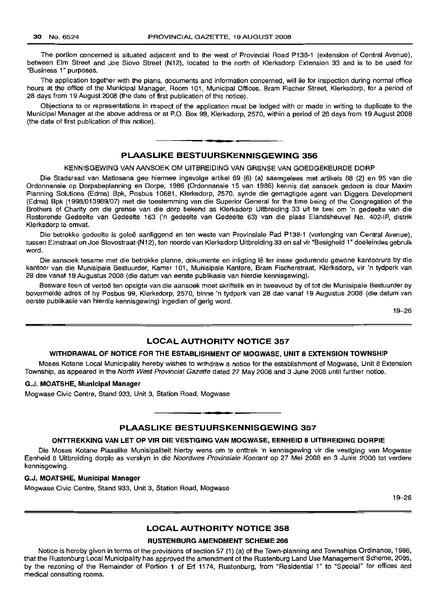The portion concerned is situated adjacent and to the west of Provincial Road P138-1 (extension of Central Avenue), between Elm Street and Joe Siovo Street (N12), located to the north of Klerksdorp Extension 33 and is to be used for "Business 1" purposes.

The application together with the plans, documents and information concerned, will lie for inspection during normal office hours at the office of the Municipal Manager, Room 101, Municipal Offices, Bram Fischer Street, Klerksdorp, for a period of 28 days from 19 August 2008 (the date of first publication of this notice).

Objections to or representations in respect of the application must be lodged with or made in writing to duplicate to the Municipal Manager at the above address or at P.O. Box 99, Klerksdorp, 2570, within a period of 28 days from 19 August 2008 (the date of first publication of this notice).

## I **• I PLAASLIKE BESTUURSKENNISGEWING 356**

KENNISGEWING VAN AANSOEK OM UITBREIDING VAN GRENSE VAN GOEDGEKEURDE DORP

Die Stadsraad van Matlosana gee hiermee ingevolge artikel 69 (6) (a) saamgelees met artikels 88 (2) en 95 van die Ordonnansie op Dorpsbeplanning en Dorpe, 1986 (Ordonnansie 15 van 1986) kennis dat aansoek gedoen is deur Maxim Planning Solutions (Edms) Bpk, Posbus 10681, Klerksdorp, 2570, synde die gemagtigde agent van Diggers Development (Edms) Bpk (1998/013989/07) met die toestemming van die Superior General for the time being of the Congregation of the Brothers of Charity am die grense van die dorp bekend as Klerksdorp Uitbreiding 33 uit te brei om 'n gedeelte van die Resterende Gedeelte van Gedeelte 163 ('n gedeelte van Gedeelte 63) van die plaas Elandsheuvel No. 402-IP, distrik Klerksdorp te omvat.

Die betrokke gedeelte is geleë aanliggend en ten weste van Provinsiale Pad P138-1 (verlenging van Central Avenue), tussen Elmstraat en Joe Slovostraat-(N12), ten noorde van Klerksdorp Uitbreiding 33 en sal vir "Besigheid 1" doeleindes gebruik word.

Die aansoek tesame met die betrokke planne, dokumente en inligting lê ter insae gedurende gewone kantoorure by die kantoor van die Munisipale Bestuurder, Kamer 101, Munisipale Kantore, Bram Fischerstraat, Klerksdorp, vir 'n tydperk van 28 dae vanaf 19 Augustus 2008 (die datum van eerste publikasie van hierdie kennisgewing).

Besware teen of vertoë ten opsigte van die aansoek moet skriftelik en in tweevoud by of tot die Munisipale Bestuurder by bovermelde adres of by Posbus 99, Klerksdorp, 2570, binne 'n tydperk van 28 dae vanaf 19 Augustus 2008 (die datum van eerste publikasle van hierdie kennisgewing) ingedien of gerig word.

19-26

## **LOCAL AUTHORITY NOTICE 357**

#### **WITHDRAWAL OF NOTICE FOR THE ESTABLISHMENT OF MOGWASE, UNIT 8 EXTENSION TOWNSHIP**

Moses Kotane Local Municipality hereby wishes to withdraw a notice for the establishment of Mogwase, Unit 8 Extension Township, as appeared in the North West Provincial Gazette dated 27 May 2008 and 3 June 2008 until further notice.

## **G.J. MOATSHE, Municipal Manager**

Mogwase Civic Centre, Stand 933, Unit 3, Station Road, Mogwase

## • **- I PLAASLIKE BESTUURSKENNISGEWING 357**

#### **ONTTREKKING VAN LET OP VIR DIE VESTIGING VAN MOGWASE, EENHEID 8 UITBREIDING DORPIE**

Die Moses Kotane Plaaslike Munisipaliteit hierby wens om te onttrek 'n kennisgewing vir die vestiging van Mogwase Eenheid 8 Uitbreiding dorpie as verskyn in die Noordwes Provinsiale Koerant op 27 Mei 2008 en 3 Junie 2008 tot verdere kennisgewing.

## **G.J. MOATSHE, Municipal Manager**

Mogwase Civic Centre, Stand 933, Unit 3, Station Road, Mogwase

19-26

## **LOCAL AUTHORITY NOTICE 358**

#### **RUSTENBURG AMENDMENT SCHEME 266**

Notice is hereby given in terms of the provisions of section 57 (1) (a) of the Town-planning and Townships Ordinance, 1986, that the Rustenburg Local Municipality has approved the amendment of the Rustenburg Land Use Management Scheme, 2005, by the rezoning of the Remainder of Portion 1 of Erf 1174, Rustenburg, from "Residential 1" to "Special" for offices and medical consulting rooms.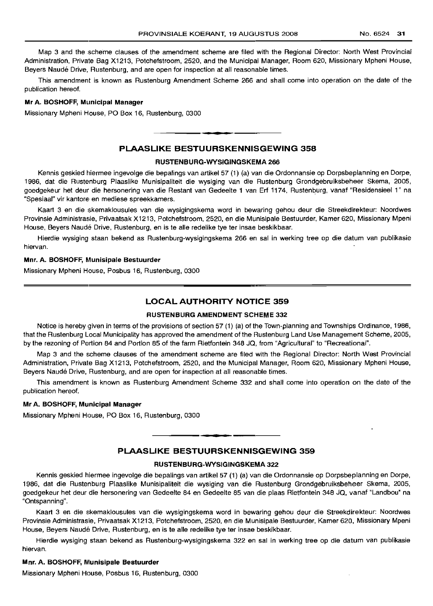Map 3 and the scheme clauses of the amendment scheme are filed with the Regional Director: North West Provincial Administration, Private Bag X1213, Potchefstroom, 2520, and the Municipal Manager, Room 620, Missionary Mpheni House, Beyers Naude Drive, Rustenburg, and are open for inspection at all reasonable times.

This amendment is known as Rustenburg Amendment Scheme 266 and shall come into operation on the date of the publication hereof.

## Mr A. BOSHOFF, Municipal Manager

Missionary Mpheni House, PO Box 16, Rustenburg, 0300

## PLAASLIKE BESTUURSKENNISGEWING 358

.**-.**

#### RUSTENBURG-WYSIGINGSKEMA 266

Kennis geskied hiermee ingevolge die bepalings van artikel 57 (1) (a) van die Ordonnansie op Dorpsbeplanning en Dorpe, 1986, dat die Rustenburg Plaaslike Munisipaliteit die wysiging van die Rustenburg Grondgebruiksbeheer Skema, 2005, goedgekeur het dew die hersonering van die Restant van Gedeelte 1 van Erf 1174, Hustenburq, vanaf "Residensieel 1" na "Spesiaal" vir kantore en mediese spreekkamers.

Kaart 3 en die skemaklousules van die wysigingskema word in bewaring gehou deur die Streekdirekteur: Noordwes Provinsie Administrasie, Privaatsak X1213, Potchefstroom, 2520, en die Munisipale Bestuurder, Kamer 620, Missionary Mpeni House, Beyers Naude Drive, Rustenburg, en is te aile redelike tye ter insae beskikbaar.

Hierdie wysiging staan bekend as Rustenburg-wysigingskema 266 en sal in werking tree op die datum van publikasie hiervan.

## Mnr. A. BOSHOFF, Munisipale Bestuurder

Missionary Mpheni House, Posbus 16, Rustenburg, 0300

## LOCAL AUTHORITY NOTICE 359

#### RUSTENBLIRG AMENDMENT SCHEME 332

Notice is hereby given in terms of the provisions of section 57 (1) (a) of the Town-planning and Townships Ordinance, 1986, that the Rustenburg Local Municipality has approved the amendment of the Rustenburg Land Use Management Scheme, 2005, by the rezoning of Portion 84 and Portion 85 of the farm Rietfontein 348 JQ, from "Agricultural" to "Recreational".

Map 3 and the scheme clauses of the amendment scheme are filed with the Regional Director: North West Provincial Administration, Private Bag X1213, Potchefstroom, 2520, and the Municipal Manager, Room 620, Missionary Mpheni House, Beyers Naude Drive, Rustenburg, and are open for inspection at all reasonable times.

This amendment is known as Rustenburg Amendment Scheme 332 and shall come into operation on the date of the publication hereof.

## Mr A. BOSHOFF, Municipal Manager

Missionary Mpheni House, PO Box 16, Rustenburg, 0300

## PLAASLIKE BESTUURSKENNISGEWING 359

**•**

## RUSTENBURG-WYSIGINGSKEMA 322

Kennis geskied hiermee ingevolge die bepalings van artikel 57 (1) (a) van die Ordonnansie op Dorpsbeplanning en Dorpe, 1986, dat die Hustenburq Plaaslike Munisipaliteit die wysiging van die Rustenburg Grondgebruiksbeheer Skema, 2005, goedgekeur het deur die hersonering van Gedeelte 84 en Gedeelte 85 van die plaas Rietfontein 348 JQ, vanaf "Landbou" na "Ontspanning".

Kaart 3 en die skemaklousules van die wysigingskema word in bewaring gehou deur die Streekdirekteur: Noordwes Provinsie Administrasie, Privaatsak X1213, Potchefstroom, 2520, en die Munisipale Bestuurder, Kamer 620, Missionary Mpeni House, Beyers Naude Drive, Rustenburg, en is te aile redelike tye ter insae beskikbaar.

Hierdie wysiging staan bekend as Rustenburg-wysigingskema 322 en sal in werking tree op die datum van publikasie hiervan.

## Mnr. A. BOSHOFF, Munisipale Bestuurder

Missionary Mpheni House, Posbus 16, Rustenburg, 0300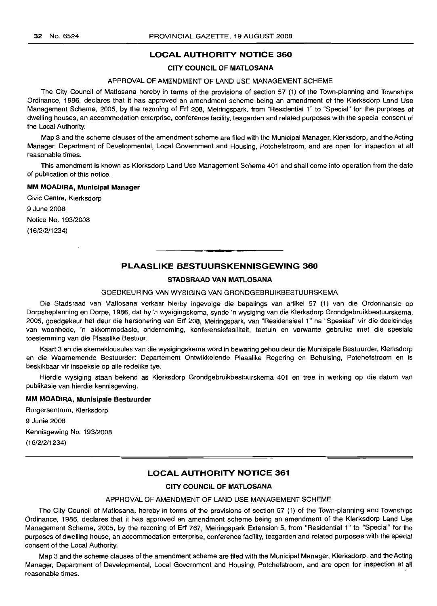## **LOCAL AUTHORITY NOTICE 360**

## **CITY COUNCIL OF MATLOSANA**

## APPROVAL OF AMENDMENT OF LAND USE MANAGEMENT SCHEME

The City Council of Matlosana hereby in terms of the provisions of section 57 (1) of the Town-planning and Townships Ordinance, 1986, declares that it has approved an amendment scheme being an amendment of the Klerksdorp Land Use Management Scheme, 2005, by the rezoning of Erf 208, Meiringspark, from "Residential 1" to "Special" for the purposes of dwelling houses, an accommodation enterprise, conference facility, teagarden and related purposes with the special consent of the Local Authority.

Map 3 and the scheme clauses of the amendment scheme are filed with the Municipal Manager, Klerksdorp, and the Acting Manager: Department of Developmental, Local Government and Housing, Potchefstroom, and are open for inspection at all reasonable times.

This amendment is known as Klerksdorp Land Use Management Scheme 401 and shall come into operation from the date of publication of this notice.

## **MM MOADIRA, Municipal Manager**

Civic Centre, Klerksdorp 9 June 2008 Notice No. 193/2008 (16/2/2/1234)

## **PLAASLIKE BESTUURSKENNISGEWING 360**

**•**

## **STADSRAAD VAN MATLOSANA**

#### GOEDKEURING VAN WYSIGING VAN GRONDGEBRUIKBESTUURSKEMA

Die Stadsraad van Matlosana verkaar hierby ingevolge die bepalings van artikel 57 (1) van die Ordonnansie op Dorpsbeplanning en Dorpe, 1986, dat hy 'n wysigingskema, synde 'n wysiging van die Klerksdorp Grondgebruikbestuurskema, 2005, goedgekeur het deur die hersonering van Erf 208, Meiringspark, van "Residensieel 1" na "Spesiaal" vir die doeleindes van woonhede, 'n akkommodasie, onderneming, konferensiefasiliteit, teetuin en verwante gebruike met die spesiale toestemming van die Plaaslike Bestuur.

Kaart 3 en die skemaklousules van die wysigingskema word in bewaring gehou deur die Munisipale Bestuurder, Klerksdorp en die Waarnemende Bestuurder: Departement Ontwikkelende Plaaslike Regering en Behuising, Potchefstroom en is beskikbaar vir inspeksie op aile redelike tye.

Hierdie wysiging staan bekend as Klerksdorp Grondgebruikbestuurskema 401 en tree in werking op die datum van publikasie van hierdie kennisgewing.

## **MM MOADIRA, Munisipale Bestuurder**

Burgersentrum, Klerksdorp 9 Junie 2008 Kennisgewing No. 193/2008 (16/2/2/1234)

## **LOCAL AUTHORITY NOTICE 361**

## **CITY COUNCIL OF MATLOSANA**

#### APPROVAL OF AMENDMENT OF LAND USE MANAGEMENT SCHEME

The City Council of Matlosana, hereby in terms of the provisions of section 57 (1) of the Town-planning and Townships Ordinance, 1986, declares that it has approved an amendment scheme being an amendment of the Klerksdorp Land Use Management Scheme, 2005, by the rezoning of Erf 767, Meiringspark Extension 5, from "Residential 1" to "Special" for the purposes of dwelling house, an accommodation enterprise, conference facility, teagarden and related purposes with the special consent of the Local Authority.

Map 3 and the scheme clauses of the amendment scheme are filed with the Municipal Manager, Klerksdorp, and the Acting Manager, Department of Developmental, Local Government and Housing, Potchefstroom, and are open for inspection at all reasonable times.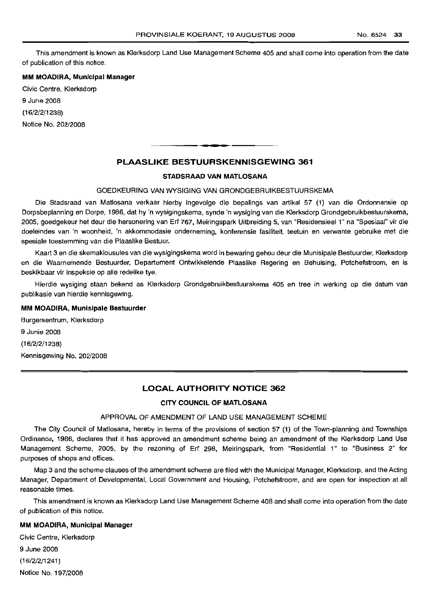This amendment is known as Klerksdorp Land Use Management Scheme 405 and shall come into operation from the date of publication of this notice.

#### **MM MOADIRA, Municipal Manager**

Civic Centre, Klerksdorp 9 June 2008 (16/2/2/1238) Notice No. 202/2008

## **PLAASLIKE BESTUURSKENNISGEWING 361**

#### **STADSRAAD VAN MATLOSANA**

#### GOEDKEURING VAN WYSIGING VAN GRONDGEBRUIKBESTUURSKEMA

Die Stadsraad van Matlosana verkaar hierby ingevolge die bepalings van artikel 57 (1) van die Ordonnansie op Dorpsbeplanning en Dorpe, 1986, dat hy 'n wysigingskema, synde 'n wysiging van die Klerksdorp Grondgebruikbestuurskema, 2005, goedgekeur het deur die hersonering van Erf 767, Meiringspark Uitbreiding 5, van "Residensieel 1" na "Spesiaal" vir die doeleindes van 'n woonheid, 'n akkommodasie onderneming, konferensie fasiliteit, teetuin en verwante gebruike met die spesiale toestemming van die Plaaslike Bestuur.

Kaart 3 en die skemaklousules van die wysigingskema word in bewaring gehou deur die Munisipale Bestuurder, Klerksdorp en die Waarnemende Bestuurder, Departement Ontwikkelende Plaaslike Regering en Behuising, Potchefstroom, en is beskikbaar vir lnspeksie op aile redelike tye.

Hierdie wysiging staan bekend as Klerksdorp Grondgebruikbestuurskema 405 en tree in werking op die datum van publikasie van hierdie kennisgewing.

#### **MM MOADIRA, Munisipale Bestuurder**

Burgersentrum, Klerksdorp 9 Junie 2008 (16/2/2/1238) Kennisgewing No. 202/2008

## **LOCAL AUTHORITY NOTICE 362**

## **CITY COUNCIL OF MATLOSANA**

## APPROVAL OF AMENDMENT OF LAND USE MANAGEMENT SCHEME

The City Council of Matlosana, hereby in terms of the provisions of section 57 (1) of the Town-planning and Townships Ordinance, 1986, declares that it has approved an amendment scheme being an amendment of the Klerksdorp Land Use Management Scheme, 2005, by the rezoning of Erf 298, Meiringspark, from "Residential 1" to "Business 2" for purposes of shops and offices.

Map 3 and the scheme clauses of the amendment scheme are filed with the Municipal Manager, Klerksdorp, and the Acting Manager, Department of Developmental, Local Government and Housing, Potchefstroom, and are open for inspection at all reasonable times.

This amendment is known as Klerksdorp Land Use Management Scheme 408 and shall come into operation from the date of publication of this notice.

#### **MM MOADIRA, Munic:ipal Manager**

Civic Centre, Klerksdorp 9 June 2008  $(16/2/2/1241)$ Notice No. 197/2008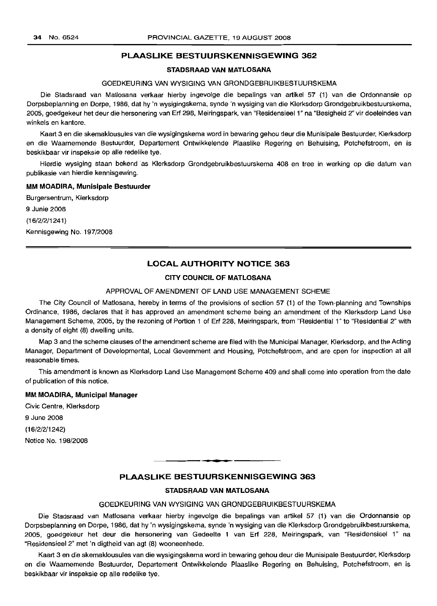## **PLAASLIKE BESTUURSKENNISGEWING 362**

## **STADSRAAD VAN MATLOSANA**

## GOEDKEURING VAN WYSIGING VAN GRONDGEBRUIKBESTUURSKEMA

Die Stadsraad van Matlosana verkaar hierby ingevolge die bepalings van artikel 57 (1) van die Ordonnansie op Dorpsbeplanning en Dorpe, 1986, dat hy 'n wysigingskema, synde 'n wysiging van die Klerksdorp Grondgebruikbestuurskema, 2005, goedgekeur het deur die hersonering van Erf 298, Meiringspark, van "Residensieel 1" na "Besigheid 2" vir doeleindes van winkels en kantore.

Kaart 3 en die skemaklousules van die wysigingskema word in bewaring gehou deur die Munisipale Bestuurder, Klerksdorp en die Waarnemende Bestuurder, Departement Ontwikkelende Plaaslike Regering en Behuising, Potchefstroom, en is beskikbaar vir inspeksie op aile redelike tye.

Hierdie wysiging staan bekend as Klerksdorp Grondgebruikbestuurskema 408 en tree in werking op die datum van publikasie van hierdie kennisgewing.

#### **MM MOADIRA, Munisipale Bestuurder**

Burgersentrum, Klerksdorp 9 Junie 2008 (16/2/2/1241) Kennisgewing No. 197/2008

## **LOCAL AUTHORITY NOTICE 363**

## **CITY COUNCIL OF MATLOSANA**

## APPROVAL OF AMENDMENT OF LAND USE MANAGEMENT SCHEME

The City Council of Matlosana, hereby in terms of the provisions of section 57 (1) of the Town-planning and Townships Ordinance, 1986, declares that it has approved an amendment scheme being an amendment of the Klerksdorp Land Use Management Scheme, 2005, by the rezoning of Portion 1 of Erf 228, Meiringspark, from "Residential 1" to "Residential 2" with a density of eight (8) dwelling units.

Map 3 and the scheme clauses of the amendment scheme are filed with the Municipal Manager, Klerksdorp, and the Acting Manager, Department of Developmental, Local Government and Housing, Potchefstroom, and are open for inspection at all reasonable times.

This amendment is known as Klerksdorp Land Use Management Scheme 409 and shall come into operation from the date of publication of this notice.

#### **MM MOADIRA, Municipal Manager**

Civic Centre, Klerksdorp 9 June 2008 (16/2/2/1242) Notice No. 198/2008

#### **PLAASLIKE BESTUURSKENNISGEWING 363**

.**-.**

#### **STADSRAAD VAN MATLOSANA**

#### GOEDKEURING VAN WYSIGING VAN GRONDGEBRUIKBESTUURSKEMA

Die Stadsraad van Matlosana verkaar hierby ingevolge die bepalings van artikel 57 (1) van die Ordonnansie op Dorpsbeplanning en Dorpe, 1986, dat hy 'n wysigingskema, synde 'n wysiging van die Klerksdorp Grondgebruikbestuurskema, 2005, goedgekeur het deur die hersonering van Gedeelte 1 van Erf 228, Meiringspark, van "Residensieel 1" na "Residensieel 2" met 'n digtheid van agt (8) wooneenhede.

Kaart 3 en die skemaklousules van die wysigingskema word in bewaring gehou deur die Munisipale Bestuurder, Klerksdorp en die Waarnemende Bestuurder, Departement Ontwikkelende Plaaslike Regering en Behuising, Potchefstroom, en is beskikbaar vir inspeksie op aile redelike tye.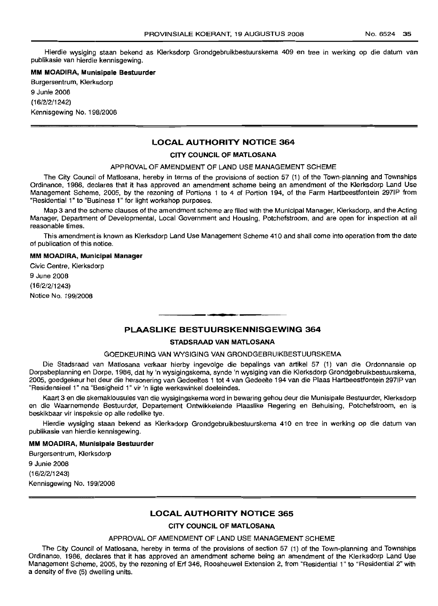Hierdie wysiging staan bekend as Klerksdorp Grondgebruikbestuurskema 409 en tree in werking op die datum van publikasie van hierdie kennisgewing.

#### MM MOADIRA, Munisipale Bestuurder

Burgersentrum, Klerksdorp 9 Junie 2008 (16/2/2/1242) Kennisgewing No. 198/2008

## LOCAL AUTHORITY NOTICE 364

## CITY COUNCIL OF MATLOSANA

#### APPROVAL OF AMENDMENT OF LAND USE MANAGEMENT SCHEME

The City Council of Matlosana, hereby in terms of the provisions of section 57 (1) of the Town-planning and Townships Ordinance, 1986, declares that it has approved an amendment scheme being an amendment of the Klerksdorp Land Use Management Scheme, 2005, by the rezoning of Portions 1 to 4 of Portion 194, of the Farm Hartbeestfontein 2971P from "Residential 1" to "Business 1" for light workshop purposes.

Map 3 and the scheme clauses of the amendment scheme are filed with the Municipal Manager, Klerksdorp, and the Acting Manager, Department of Developmental, Local Government and Housing, Potchefstroom, and are open for inspection at all reasonable times.

This amendment is known as Klerksdorp Land Use Management Scheme 410 and shall come into operation from the date of publication of this notice.

#### MM MOADIRA, Municipal Manager

Civic Centre, Klerksdorp 9 June 2008 (16/2/2/1243) Notice No. 199/2008

## **-** PLAASLIKE BESTUURSKENNISGEWING <sup>364</sup>

#### STADSRAAD VAN MATLOSANA

#### GOEDKEURING VAN WYSIGING VAN GRONDGEBRUIKBESTUURSKEMA

Die Stadsraad van Matlosana verkaar hierby ingevolge die bepalings van artikel 57 (1) van die Ordonnansie op Dorpsbeplanning en Dorpe, 1986, dat hy 'n wysigingskema, synde 'n wysiging van die Klerksdorp Grondgebruikbestuurskema, 2005, goedgekeur het deur die hersonering van Gedeeltes 1 tot 4 van Gedeelte 194 van die Plaas Hartbeestfontein 2971P van "Residensieel 1" na "Besigheid 1" vir 'n Iigte werkswinkel doeleindes.

Kaart 3 en die skernaklousules van die wysigingskema word in bewaring gehou deur die Munisipale Bestuurder, Klerksdorp en die Waarnemende Bestuurder, Departement Ontwikkelende Plaaslike Regering en Behuising, Potchefstroom, en is beskikbaar vir inspeksie op aile redelike tye.

Hierdie wysiging staan bekend as Klerksdorp Grondgebruikbestuurskema 410 en tree in werking op die datum van publikasie van hierdie kennisgewing.

#### MM MOADIRA, Munisipale Bestuurder

Burgersentrum, Klerksdorp 9 Junie 2008 (16/2/2/1243) Kennisgewing No. 199/2008

## LOCAL AUTHORITY NOTICE 365

## CITY COUNCIL OF MATLOSANA

#### APPROVAL OF AMENDMENT OF LAND USE MANAGEMENT SCHEME

The City Council of Matlosana, hereby in terms of the provisions of section 57 (1) of the Town-planning and Townships Ordinance, 1986, declares that it has approved an amendment scheme being an amendment of the Klerksdorp Land Use Management Scheme, 2005, by the rezoning of Erf 346, Roosheuwel Extension 2, from "Residential 1" to "Residential 2" with a density of five (5) dwelling units.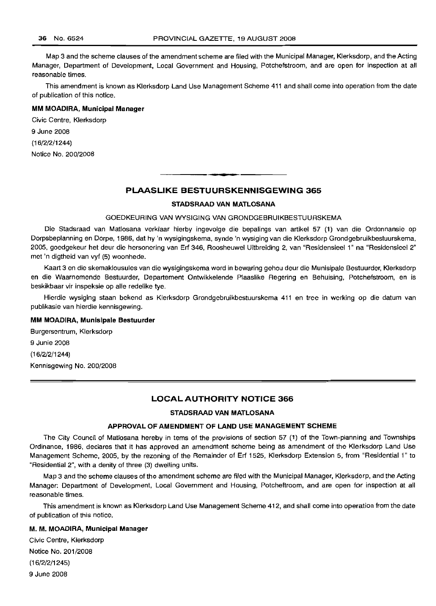Map 3 and the scheme clauses of the amendment scheme are filed with the Municipal Manager, Klerksdorp, and the Acting Manager, Department of Development, Local Government and Housing, Potchefstroom, and are open for inspection at all reasonable times.

This amendment is known as Klerksdorp Land Use Management Scheme 411 and shall come into operation from the date of publication of this notice.

## **MM MOADIRA, Municipal Manager**

Civic Centre, Klerksdorp 9 June 2008 (16/2/2/1244) Notice No. 200/2008

## **PLAASLIKE BESTUURSKENNISGEWING 365**

.**-.**

## **STADSRAAD VAN MATLOSANA**

## GOEDKEURING VAN WYSIGING VAN GRONDGEBRUIKBESTUURSKEMA

Die Stadsraad van Matlosana verklaar hierby ingevolge die bepalings van artikel 57 (1) van die Ordonnansie op Dorpsbeplanning en Dorpe, 1986, dat hy 'n wysigingskema, synde 'n wysiging van die Klerksdorp Grondgebruikbestuurskema, 2005, goedgekeur het deur die hersonering van Erf 346, Roosheuwel Uitbreiding 2, van "Residensieel 1" na "Residensieel 2" met 'n digtheid van vyf (5) woonhede.

Kaart 3 en die skemaklousules van die wysigingskema word in bewaring gehou deur die Munisipale Bestuurder, Klerksdorp en die Waarnemende Bestuurder, Departement Ontwikkelende Plaaslike Regering en Behuising, Potchefstroom, en is beskikbaar vir inspeksie op aile redelike tye.

Hierdie wysiging staan bekend as Klerksdorp Grondgebruikbestuurskema 411 en tree in werking op die datum van publikasie van hierdie kennisgewing.

#### **MM MOADIRA, Munisipale Bestuurder**

Burgersentrum, Klerksdorp

9 Junie 2008

(16/2/2/1244)

Kennisgewing No. 200/2008

#### **LOCAL AUTHORITY NOTICE 366**

## **STADSRAAD VAN MATLOSANA**

#### **APPROVAL OF AMENDMENT OF LAND USE MANAGEMENT SCHEME**

The City Council of Matlosana hereby in tems of the provisions of section 57 (1) of the Town-planning and Townships Ordinance, 1986, declares that it has approved an amendment scheme being as amendment of the Klerksdorp Land Use Management Scheme, 2005, by the rezoning of the Remainder of Erf 1525, Klerksdorp Extension 5, from "Residential 1" to "Residential 2", with a denity of three (3) dwelling units.

Map 3 and the scheme clauses of the amendment scheme are filed with the Municipal Manager, Klerksdorp, and the Acting Manager: Department of Development, Local Government and Housing, Potcheftroom, and are open for inspection at all reasonable times.

This amendment is known as Klerksdorp Land Use Management Scheme 412, and shall come into operation from the date of publication of this notice.

## **M. M. MOADIRA, Municipal Manager**

Civic Centre, Klerksdorp Notice No. 201/2008 (16/2/2/1245) 9 June 2008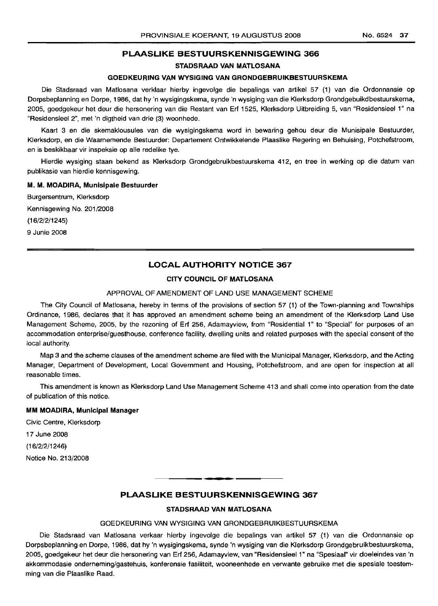## PLAASLIKE BESTUURSKENNISGEWING 366

## STADSRAAD VAN MATLOSANA

## GOEDKEURING VAN WYSIGING VAN GRONDGEBRUIKBESTUURSKEMA

Die Stadsraad van Matlosana verklaar hierby ingevolge die bepalings van artikel 57 (1) van die Ordonnansie op Dorpsbeplanning en Dorpe, 1986, dat hy 'n wysigingskema, synde 'n wysiging van die Klerksdorp Grondgebuikdbestuurskema, 2005, goedgekeur het deur die hersonering van die Restant van Erf 1525, Klerksdorp Uitbreiding 5, van "Residensieel 1" na "Residensieel 2", met 'n digtheid van drie (3) woonhede.

Kaart 3 en die skemaklousules van die wysigingskema word in bewaring gehou deur die Munisipale Bestuurder, Klerksdorp, en die Waarnemende Bestuurder: Departement Ontwikkelende Plaaslike Regering en Behuising, Potchefstroom, en is beskikbaar vir inspeksie op aile redelike tye.

Hierdie wysiging staan bekend as Klerksdorp Grondgebruikbestuurskema 412, en tree in werking op die datum van publikasie van hierdie kennisgewing.

## M. M. MOADIRA, Munisipale Bestuurder

Burgersentrum, Klerksdorp Kennisgewing No. 201/2008 (16/2/2/1245) 9 Junie 2008

## LOCAL AUTHORITY NOTICE 367

## CITY COUNCIL OF MATLOSANA

## APPROVAL OF AMENDMENT OF LAND USE MANAGEMENT SCHEME

The City Council of Matlosana, hereby in terms of the provisions of section 57 (1) of the Town-planning and Townships Ordinance, 1986, declares that it has approved an amendment scheme being an amendment of the Klerksdorp Land Use Management Scheme, 2005, by the rezoning of Erf 256, Adamayview, from "Residential 1" to "Special" for purposes of an accommodation enterprise/guesthouse, conference facility, dwelling units and related purposes with the special consent of the local authority.

Map 3 and the scheme clauses of the amendment scheme are filed with the Municipal Manager, Klerksdorp, and the Acting Manager, Department of Development, Local Government and Housing, Potchefstroom, and are open for inspection at all reasonable times.

This amendment is known as Klerksdorp Land Use Management Scheme 413 and shall come into operation from the date of publication of this notice.

#### MM MOADIRA, Municipal Manager

Civic Centre, Klerksdorp 17 June 2008 (16/2/2/1246) Notice No. 213/2008

## PLAASLIKE BESTUURSKENNISGEWING 367

**- .**

## STADSRAAD VAN MATLOSANA

## GOEDKEURING VAN WYSIGING VAN GRONDGEBRUIKBESTUURSKEMA

Die Stadsraad van Matlosana verkaar hierby ingevolge die bepalings van artikel 57 (1) van die Ordonnansie op Dorpsbeplanning en Dorpe, 1986, dat hy 'n wysigingskema, synde 'n wysiging van die Klerksdorp Grondgebruikbestuurskema, 2005, goedgekeur het deur die hersonering van Erf 256, Adamayview, van "Residensieel 1" na "Spesiaal" vir doeleindes van 'n akkommodasie onderneming/gastehuis, konferensie fasiliteit, wooneenhede en verwante gebruike met die spesiale toestemming van die Plaaslike Raad.